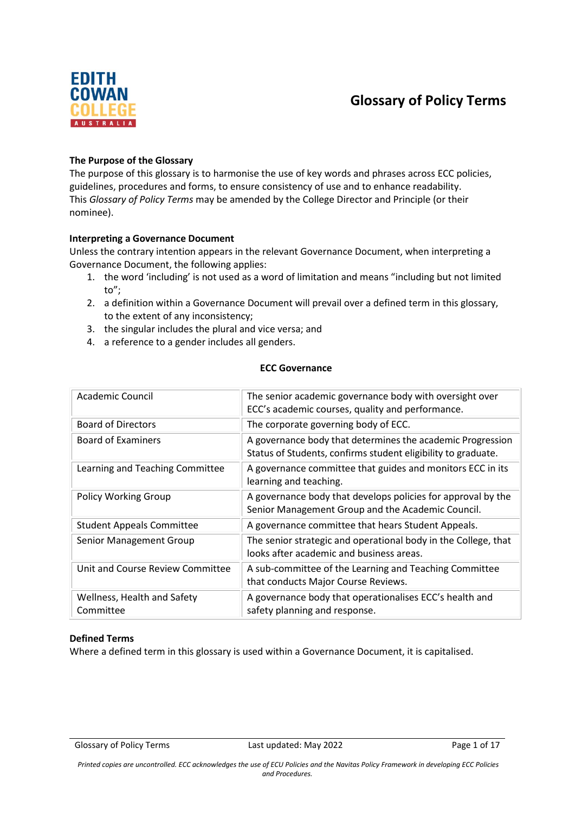# **Glossary of Policy Terms**



### **The Purpose of the Glossary**

The purpose of this glossary is to harmonise the use of key words and phrases across ECC policies, guidelines, procedures and forms, to ensure consistency of use and to enhance readability. This *Glossary of Policy Terms* may be amended by the College Director and Principle (or their nominee).

#### **Interpreting a Governance Document**

Unless the contrary intention appears in the relevant Governance Document, when interpreting a Governance Document, the following applies:

- 1. the word 'including' is not used as a word of limitation and means "including but not limited to";
- 2. a definition within a Governance Document will prevail over a defined term in this glossary, to the extent of any inconsistency;
- 3. the singular includes the plural and vice versa; and
- 4. a reference to a gender includes all genders.

#### **ECC Governance**

| Academic Council                         | The senior academic governance body with oversight over<br>ECC's academic courses, quality and performance.                 |
|------------------------------------------|-----------------------------------------------------------------------------------------------------------------------------|
| <b>Board of Directors</b>                | The corporate governing body of ECC.                                                                                        |
| <b>Board of Examiners</b>                | A governance body that determines the academic Progression<br>Status of Students, confirms student eligibility to graduate. |
| Learning and Teaching Committee          | A governance committee that guides and monitors ECC in its<br>learning and teaching.                                        |
| <b>Policy Working Group</b>              | A governance body that develops policies for approval by the<br>Senior Management Group and the Academic Council.           |
| <b>Student Appeals Committee</b>         | A governance committee that hears Student Appeals.                                                                          |
| Senior Management Group                  | The senior strategic and operational body in the College, that<br>looks after academic and business areas.                  |
| Unit and Course Review Committee         | A sub-committee of the Learning and Teaching Committee<br>that conducts Major Course Reviews.                               |
| Wellness, Health and Safety<br>Committee | A governance body that operationalises ECC's health and<br>safety planning and response.                                    |

#### **Defined Terms**

Where a defined term in this glossary is used within a Governance Document, it is capitalised.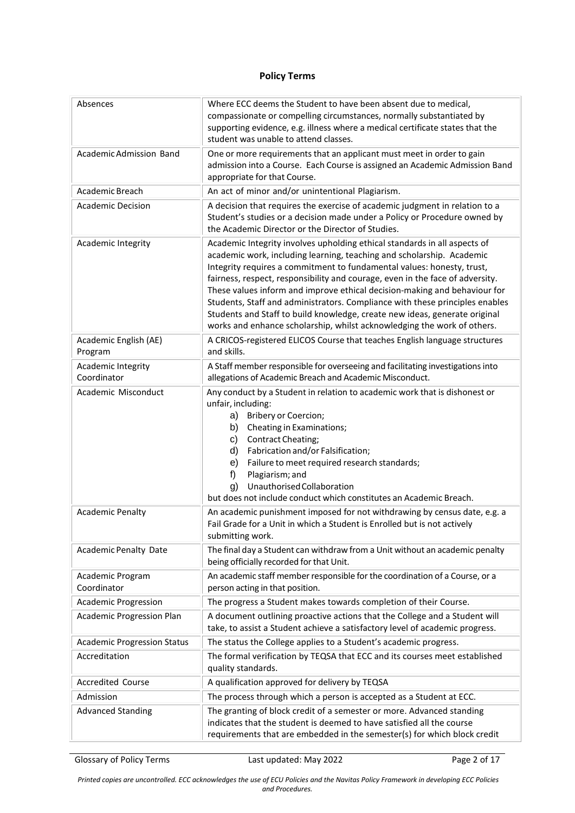## **Policy Terms**

| Absences                           | Where ECC deems the Student to have been absent due to medical,<br>compassionate or compelling circumstances, normally substantiated by<br>supporting evidence, e.g. illness where a medical certificate states that the<br>student was unable to attend classes.                                                                                                                                                                                                                                                                                                                                                                   |
|------------------------------------|-------------------------------------------------------------------------------------------------------------------------------------------------------------------------------------------------------------------------------------------------------------------------------------------------------------------------------------------------------------------------------------------------------------------------------------------------------------------------------------------------------------------------------------------------------------------------------------------------------------------------------------|
| Academic Admission Band            | One or more requirements that an applicant must meet in order to gain<br>admission into a Course. Each Course is assigned an Academic Admission Band<br>appropriate for that Course.                                                                                                                                                                                                                                                                                                                                                                                                                                                |
| Academic Breach                    | An act of minor and/or unintentional Plagiarism.                                                                                                                                                                                                                                                                                                                                                                                                                                                                                                                                                                                    |
| <b>Academic Decision</b>           | A decision that requires the exercise of academic judgment in relation to a<br>Student's studies or a decision made under a Policy or Procedure owned by<br>the Academic Director or the Director of Studies.                                                                                                                                                                                                                                                                                                                                                                                                                       |
| Academic Integrity                 | Academic Integrity involves upholding ethical standards in all aspects of<br>academic work, including learning, teaching and scholarship. Academic<br>Integrity requires a commitment to fundamental values: honesty, trust,<br>fairness, respect, responsibility and courage, even in the face of adversity.<br>These values inform and improve ethical decision-making and behaviour for<br>Students, Staff and administrators. Compliance with these principles enables<br>Students and Staff to build knowledge, create new ideas, generate original<br>works and enhance scholarship, whilst acknowledging the work of others. |
| Academic English (AE)<br>Program   | A CRICOS-registered ELICOS Course that teaches English language structures<br>and skills.                                                                                                                                                                                                                                                                                                                                                                                                                                                                                                                                           |
| Academic Integrity<br>Coordinator  | A Staff member responsible for overseeing and facilitating investigations into<br>allegations of Academic Breach and Academic Misconduct.                                                                                                                                                                                                                                                                                                                                                                                                                                                                                           |
| Academic Misconduct                | Any conduct by a Student in relation to academic work that is dishonest or<br>unfair, including:<br><b>Bribery or Coercion;</b><br>a)<br>Cheating in Examinations;<br>b)<br>Contract Cheating;<br>C)<br>d)<br>Fabrication and/or Falsification;<br>Failure to meet required research standards;<br>e)<br>Plagiarism; and<br>f)<br>Unauthorised Collaboration<br>g)<br>but does not include conduct which constitutes an Academic Breach.                                                                                                                                                                                            |
| <b>Academic Penalty</b>            | An academic punishment imposed for not withdrawing by census date, e.g. a<br>Fail Grade for a Unit in which a Student is Enrolled but is not actively<br>submitting work.                                                                                                                                                                                                                                                                                                                                                                                                                                                           |
| Academic Penalty Date              | The final day a Student can withdraw from a Unit without an academic penalty<br>being officially recorded for that Unit.                                                                                                                                                                                                                                                                                                                                                                                                                                                                                                            |
| Academic Program<br>Coordinator    | An academic staff member responsible for the coordination of a Course, or a<br>person acting in that position.                                                                                                                                                                                                                                                                                                                                                                                                                                                                                                                      |
| <b>Academic Progression</b>        | The progress a Student makes towards completion of their Course.                                                                                                                                                                                                                                                                                                                                                                                                                                                                                                                                                                    |
| Academic Progression Plan          | A document outlining proactive actions that the College and a Student will<br>take, to assist a Student achieve a satisfactory level of academic progress.                                                                                                                                                                                                                                                                                                                                                                                                                                                                          |
| <b>Academic Progression Status</b> | The status the College applies to a Student's academic progress.                                                                                                                                                                                                                                                                                                                                                                                                                                                                                                                                                                    |
| Accreditation                      | The formal verification by TEQSA that ECC and its courses meet established<br>quality standards.                                                                                                                                                                                                                                                                                                                                                                                                                                                                                                                                    |
| <b>Accredited Course</b>           | A qualification approved for delivery by TEQSA                                                                                                                                                                                                                                                                                                                                                                                                                                                                                                                                                                                      |
| Admission                          | The process through which a person is accepted as a Student at ECC.                                                                                                                                                                                                                                                                                                                                                                                                                                                                                                                                                                 |
| <b>Advanced Standing</b>           | The granting of block credit of a semester or more. Advanced standing<br>indicates that the student is deemed to have satisfied all the course<br>requirements that are embedded in the semester(s) for which block credit                                                                                                                                                                                                                                                                                                                                                                                                          |

Glossary of Policy Terms **Last updated: May 2022** Page 2 of 17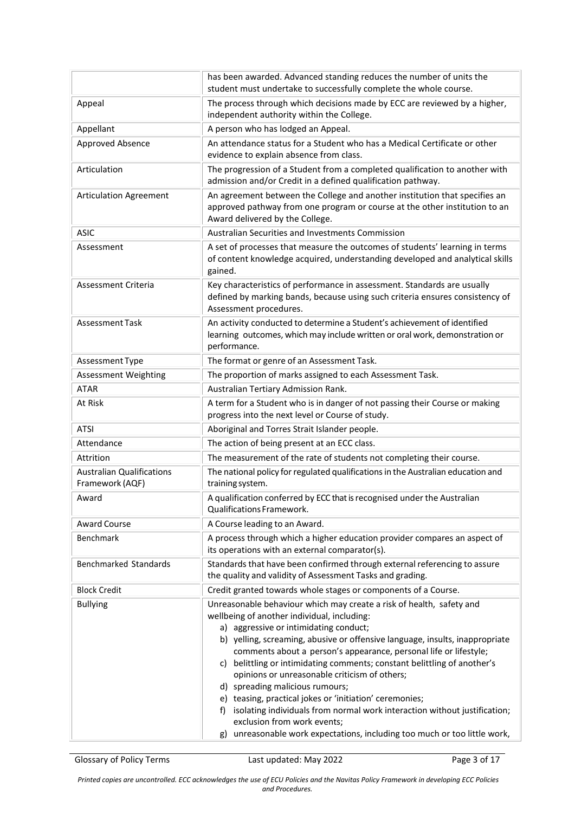|                                                     | has been awarded. Advanced standing reduces the number of units the<br>student must undertake to successfully complete the whole course.                                                                                                                                                                                                                                                                                                                                                                                                      |
|-----------------------------------------------------|-----------------------------------------------------------------------------------------------------------------------------------------------------------------------------------------------------------------------------------------------------------------------------------------------------------------------------------------------------------------------------------------------------------------------------------------------------------------------------------------------------------------------------------------------|
| Appeal                                              | The process through which decisions made by ECC are reviewed by a higher,<br>independent authority within the College.                                                                                                                                                                                                                                                                                                                                                                                                                        |
| Appellant                                           | A person who has lodged an Appeal.                                                                                                                                                                                                                                                                                                                                                                                                                                                                                                            |
| Approved Absence                                    | An attendance status for a Student who has a Medical Certificate or other<br>evidence to explain absence from class.                                                                                                                                                                                                                                                                                                                                                                                                                          |
| Articulation                                        | The progression of a Student from a completed qualification to another with<br>admission and/or Credit in a defined qualification pathway.                                                                                                                                                                                                                                                                                                                                                                                                    |
| <b>Articulation Agreement</b>                       | An agreement between the College and another institution that specifies an<br>approved pathway from one program or course at the other institution to an<br>Award delivered by the College.                                                                                                                                                                                                                                                                                                                                                   |
| <b>ASIC</b>                                         | Australian Securities and Investments Commission                                                                                                                                                                                                                                                                                                                                                                                                                                                                                              |
| Assessment                                          | A set of processes that measure the outcomes of students' learning in terms<br>of content knowledge acquired, understanding developed and analytical skills<br>gained.                                                                                                                                                                                                                                                                                                                                                                        |
| Assessment Criteria                                 | Key characteristics of performance in assessment. Standards are usually<br>defined by marking bands, because using such criteria ensures consistency of<br>Assessment procedures.                                                                                                                                                                                                                                                                                                                                                             |
| <b>Assessment Task</b>                              | An activity conducted to determine a Student's achievement of identified<br>learning outcomes, which may include written or oral work, demonstration or<br>performance.                                                                                                                                                                                                                                                                                                                                                                       |
| Assessment Type                                     | The format or genre of an Assessment Task.                                                                                                                                                                                                                                                                                                                                                                                                                                                                                                    |
| <b>Assessment Weighting</b>                         | The proportion of marks assigned to each Assessment Task.                                                                                                                                                                                                                                                                                                                                                                                                                                                                                     |
| <b>ATAR</b>                                         | Australian Tertiary Admission Rank.                                                                                                                                                                                                                                                                                                                                                                                                                                                                                                           |
| At Risk                                             | A term for a Student who is in danger of not passing their Course or making<br>progress into the next level or Course of study.                                                                                                                                                                                                                                                                                                                                                                                                               |
| <b>ATSI</b>                                         | Aboriginal and Torres Strait Islander people.                                                                                                                                                                                                                                                                                                                                                                                                                                                                                                 |
| Attendance                                          | The action of being present at an ECC class.                                                                                                                                                                                                                                                                                                                                                                                                                                                                                                  |
| Attrition                                           | The measurement of the rate of students not completing their course.                                                                                                                                                                                                                                                                                                                                                                                                                                                                          |
| <b>Australian Qualifications</b><br>Framework (AQF) | The national policy for regulated qualifications in the Australian education and<br>training system.                                                                                                                                                                                                                                                                                                                                                                                                                                          |
| Award                                               | A qualification conferred by ECC that is recognised under the Australian<br>Qualifications Framework.                                                                                                                                                                                                                                                                                                                                                                                                                                         |
| <b>Award Course</b>                                 | A Course leading to an Award.                                                                                                                                                                                                                                                                                                                                                                                                                                                                                                                 |
| Benchmark                                           | A process through which a higher education provider compares an aspect of<br>its operations with an external comparator(s).                                                                                                                                                                                                                                                                                                                                                                                                                   |
| <b>Benchmarked Standards</b>                        | Standards that have been confirmed through external referencing to assure<br>the quality and validity of Assessment Tasks and grading.                                                                                                                                                                                                                                                                                                                                                                                                        |
| <b>Block Credit</b>                                 | Credit granted towards whole stages or components of a Course.                                                                                                                                                                                                                                                                                                                                                                                                                                                                                |
| <b>Bullying</b>                                     | Unreasonable behaviour which may create a risk of health, safety and<br>wellbeing of another individual, including:<br>a) aggressive or intimidating conduct;<br>b) yelling, screaming, abusive or offensive language, insults, inappropriate<br>comments about a person's appearance, personal life or lifestyle;<br>c) belittling or intimidating comments; constant belittling of another's<br>opinions or unreasonable criticism of others;<br>d) spreading malicious rumours;<br>e) teasing, practical jokes or 'initiation' ceremonies; |
|                                                     | f) isolating individuals from normal work interaction without justification;<br>exclusion from work events;<br>g) unreasonable work expectations, including too much or too little work,                                                                                                                                                                                                                                                                                                                                                      |

Glossary of Policy Terms **Last updated: May 2022** Page 3 of 17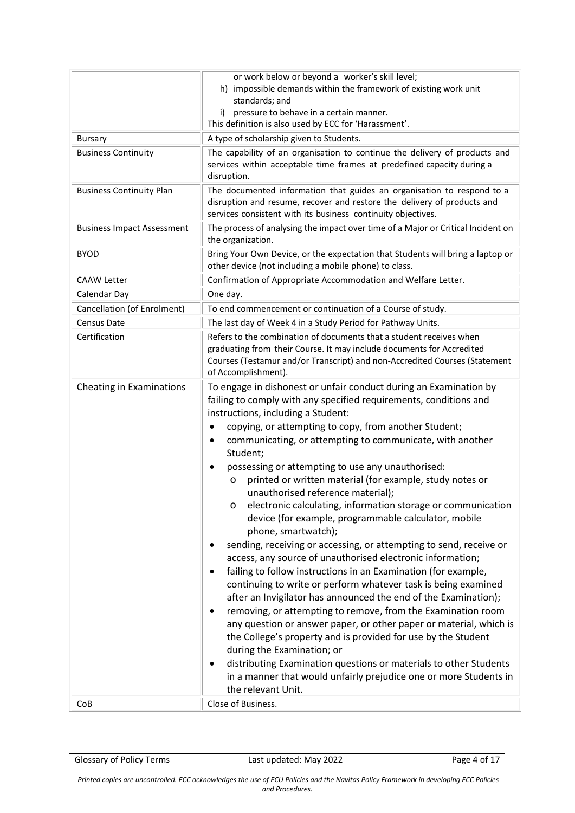|                                   | or work below or beyond a worker's skill level;<br>h) impossible demands within the framework of existing work unit<br>standards; and<br>i) pressure to behave in a certain manner.<br>This definition is also used by ECC for 'Harassment'.                                                                                                                                                                                                                                                                                                                                                                                                                                                                                                                                                                                                                                                                                                                                                                                                                                                                                                                                                                                                                                                                                                                                                                                          |
|-----------------------------------|---------------------------------------------------------------------------------------------------------------------------------------------------------------------------------------------------------------------------------------------------------------------------------------------------------------------------------------------------------------------------------------------------------------------------------------------------------------------------------------------------------------------------------------------------------------------------------------------------------------------------------------------------------------------------------------------------------------------------------------------------------------------------------------------------------------------------------------------------------------------------------------------------------------------------------------------------------------------------------------------------------------------------------------------------------------------------------------------------------------------------------------------------------------------------------------------------------------------------------------------------------------------------------------------------------------------------------------------------------------------------------------------------------------------------------------|
| Bursary                           | A type of scholarship given to Students.                                                                                                                                                                                                                                                                                                                                                                                                                                                                                                                                                                                                                                                                                                                                                                                                                                                                                                                                                                                                                                                                                                                                                                                                                                                                                                                                                                                              |
| <b>Business Continuity</b>        | The capability of an organisation to continue the delivery of products and<br>services within acceptable time frames at predefined capacity during a<br>disruption.                                                                                                                                                                                                                                                                                                                                                                                                                                                                                                                                                                                                                                                                                                                                                                                                                                                                                                                                                                                                                                                                                                                                                                                                                                                                   |
| <b>Business Continuity Plan</b>   | The documented information that guides an organisation to respond to a<br>disruption and resume, recover and restore the delivery of products and<br>services consistent with its business continuity objectives.                                                                                                                                                                                                                                                                                                                                                                                                                                                                                                                                                                                                                                                                                                                                                                                                                                                                                                                                                                                                                                                                                                                                                                                                                     |
| <b>Business Impact Assessment</b> | The process of analysing the impact over time of a Major or Critical Incident on<br>the organization.                                                                                                                                                                                                                                                                                                                                                                                                                                                                                                                                                                                                                                                                                                                                                                                                                                                                                                                                                                                                                                                                                                                                                                                                                                                                                                                                 |
| <b>BYOD</b>                       | Bring Your Own Device, or the expectation that Students will bring a laptop or<br>other device (not including a mobile phone) to class.                                                                                                                                                                                                                                                                                                                                                                                                                                                                                                                                                                                                                                                                                                                                                                                                                                                                                                                                                                                                                                                                                                                                                                                                                                                                                               |
| <b>CAAW Letter</b>                | Confirmation of Appropriate Accommodation and Welfare Letter.                                                                                                                                                                                                                                                                                                                                                                                                                                                                                                                                                                                                                                                                                                                                                                                                                                                                                                                                                                                                                                                                                                                                                                                                                                                                                                                                                                         |
| Calendar Day                      | One day.                                                                                                                                                                                                                                                                                                                                                                                                                                                                                                                                                                                                                                                                                                                                                                                                                                                                                                                                                                                                                                                                                                                                                                                                                                                                                                                                                                                                                              |
| Cancellation (of Enrolment)       | To end commencement or continuation of a Course of study.                                                                                                                                                                                                                                                                                                                                                                                                                                                                                                                                                                                                                                                                                                                                                                                                                                                                                                                                                                                                                                                                                                                                                                                                                                                                                                                                                                             |
| <b>Census Date</b>                | The last day of Week 4 in a Study Period for Pathway Units.                                                                                                                                                                                                                                                                                                                                                                                                                                                                                                                                                                                                                                                                                                                                                                                                                                                                                                                                                                                                                                                                                                                                                                                                                                                                                                                                                                           |
| Certification                     | Refers to the combination of documents that a student receives when<br>graduating from their Course. It may include documents for Accredited<br>Courses (Testamur and/or Transcript) and non-Accredited Courses (Statement<br>of Accomplishment).                                                                                                                                                                                                                                                                                                                                                                                                                                                                                                                                                                                                                                                                                                                                                                                                                                                                                                                                                                                                                                                                                                                                                                                     |
| Cheating in Examinations<br>CoB   | To engage in dishonest or unfair conduct during an Examination by<br>failing to comply with any specified requirements, conditions and<br>instructions, including a Student:<br>copying, or attempting to copy, from another Student;<br>٠<br>communicating, or attempting to communicate, with another<br>٠<br>Student;<br>possessing or attempting to use any unauthorised:<br>printed or written material (for example, study notes or<br>$\circ$<br>unauthorised reference material);<br>electronic calculating, information storage or communication<br>O<br>device (for example, programmable calculator, mobile<br>phone, smartwatch);<br>sending, receiving or accessing, or attempting to send, receive or<br>access, any source of unauthorised electronic information;<br>failing to follow instructions in an Examination (for example,<br>$\bullet$<br>continuing to write or perform whatever task is being examined<br>after an Invigilator has announced the end of the Examination);<br>removing, or attempting to remove, from the Examination room<br>٠<br>any question or answer paper, or other paper or material, which is<br>the College's property and is provided for use by the Student<br>during the Examination; or<br>distributing Examination questions or materials to other Students<br>in a manner that would unfairly prejudice one or more Students in<br>the relevant Unit.<br>Close of Business. |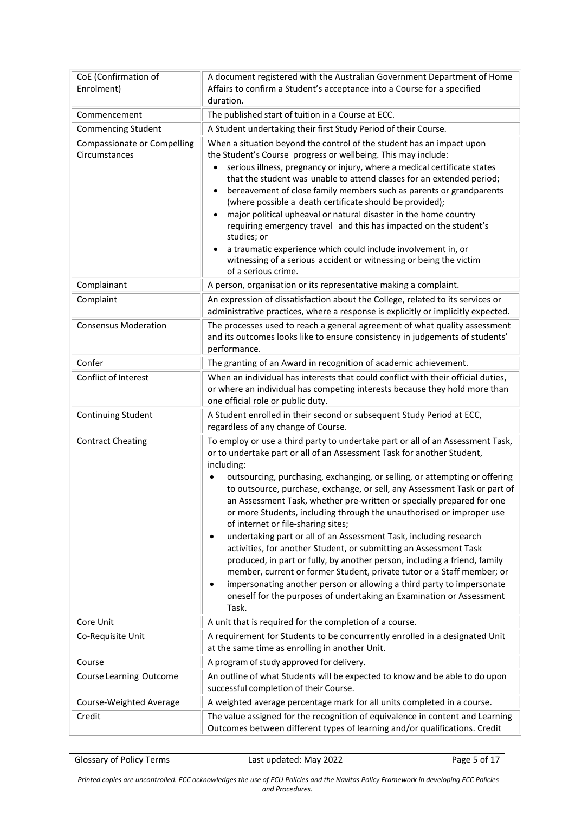| CoE (Confirmation of<br>Enrolment)                  | A document registered with the Australian Government Department of Home<br>Affairs to confirm a Student's acceptance into a Course for a specified<br>duration.                                                                                                                                                                                                                                                                                                                                                                                                                                                                                                                                                                                                                                                                                                                                                                                                                                                    |
|-----------------------------------------------------|--------------------------------------------------------------------------------------------------------------------------------------------------------------------------------------------------------------------------------------------------------------------------------------------------------------------------------------------------------------------------------------------------------------------------------------------------------------------------------------------------------------------------------------------------------------------------------------------------------------------------------------------------------------------------------------------------------------------------------------------------------------------------------------------------------------------------------------------------------------------------------------------------------------------------------------------------------------------------------------------------------------------|
| Commencement                                        | The published start of tuition in a Course at ECC.                                                                                                                                                                                                                                                                                                                                                                                                                                                                                                                                                                                                                                                                                                                                                                                                                                                                                                                                                                 |
| <b>Commencing Student</b>                           | A Student undertaking their first Study Period of their Course.                                                                                                                                                                                                                                                                                                                                                                                                                                                                                                                                                                                                                                                                                                                                                                                                                                                                                                                                                    |
| <b>Compassionate or Compelling</b><br>Circumstances | When a situation beyond the control of the student has an impact upon<br>the Student's Course progress or wellbeing. This may include:<br>serious illness, pregnancy or injury, where a medical certificate states<br>that the student was unable to attend classes for an extended period;<br>bereavement of close family members such as parents or grandparents<br>(where possible a death certificate should be provided);<br>major political upheaval or natural disaster in the home country<br>requiring emergency travel and this has impacted on the student's<br>studies; or<br>a traumatic experience which could include involvement in, or<br>witnessing of a serious accident or witnessing or being the victim<br>of a serious crime.                                                                                                                                                                                                                                                               |
| Complainant                                         | A person, organisation or its representative making a complaint.                                                                                                                                                                                                                                                                                                                                                                                                                                                                                                                                                                                                                                                                                                                                                                                                                                                                                                                                                   |
| Complaint                                           | An expression of dissatisfaction about the College, related to its services or<br>administrative practices, where a response is explicitly or implicitly expected.                                                                                                                                                                                                                                                                                                                                                                                                                                                                                                                                                                                                                                                                                                                                                                                                                                                 |
| <b>Consensus Moderation</b>                         | The processes used to reach a general agreement of what quality assessment<br>and its outcomes looks like to ensure consistency in judgements of students'<br>performance.                                                                                                                                                                                                                                                                                                                                                                                                                                                                                                                                                                                                                                                                                                                                                                                                                                         |
| Confer                                              | The granting of an Award in recognition of academic achievement.                                                                                                                                                                                                                                                                                                                                                                                                                                                                                                                                                                                                                                                                                                                                                                                                                                                                                                                                                   |
| Conflict of Interest                                | When an individual has interests that could conflict with their official duties,<br>or where an individual has competing interests because they hold more than<br>one official role or public duty.                                                                                                                                                                                                                                                                                                                                                                                                                                                                                                                                                                                                                                                                                                                                                                                                                |
| <b>Continuing Student</b>                           | A Student enrolled in their second or subsequent Study Period at ECC,<br>regardless of any change of Course.                                                                                                                                                                                                                                                                                                                                                                                                                                                                                                                                                                                                                                                                                                                                                                                                                                                                                                       |
| <b>Contract Cheating</b>                            | To employ or use a third party to undertake part or all of an Assessment Task,<br>or to undertake part or all of an Assessment Task for another Student,<br>including:<br>outsourcing, purchasing, exchanging, or selling, or attempting or offering<br>$\bullet$<br>to outsource, purchase, exchange, or sell, any Assessment Task or part of<br>an Assessment Task, whether pre-written or specially prepared for one<br>or more Students, including through the unauthorised or improper use<br>of internet or file-sharing sites;<br>undertaking part or all of an Assessment Task, including research<br>$\bullet$<br>activities, for another Student, or submitting an Assessment Task<br>produced, in part or fully, by another person, including a friend, family<br>member, current or former Student, private tutor or a Staff member; or<br>impersonating another person or allowing a third party to impersonate<br>٠<br>oneself for the purposes of undertaking an Examination or Assessment<br>Task. |
| Core Unit                                           | A unit that is required for the completion of a course.                                                                                                                                                                                                                                                                                                                                                                                                                                                                                                                                                                                                                                                                                                                                                                                                                                                                                                                                                            |
| Co-Requisite Unit                                   | A requirement for Students to be concurrently enrolled in a designated Unit<br>at the same time as enrolling in another Unit.                                                                                                                                                                                                                                                                                                                                                                                                                                                                                                                                                                                                                                                                                                                                                                                                                                                                                      |
| Course                                              | A program of study approved for delivery.                                                                                                                                                                                                                                                                                                                                                                                                                                                                                                                                                                                                                                                                                                                                                                                                                                                                                                                                                                          |
| Course Learning Outcome                             | An outline of what Students will be expected to know and be able to do upon<br>successful completion of their Course.                                                                                                                                                                                                                                                                                                                                                                                                                                                                                                                                                                                                                                                                                                                                                                                                                                                                                              |
| Course-Weighted Average                             | A weighted average percentage mark for all units completed in a course.                                                                                                                                                                                                                                                                                                                                                                                                                                                                                                                                                                                                                                                                                                                                                                                                                                                                                                                                            |
| Credit                                              | The value assigned for the recognition of equivalence in content and Learning<br>Outcomes between different types of learning and/or qualifications. Credit                                                                                                                                                                                                                                                                                                                                                                                                                                                                                                                                                                                                                                                                                                                                                                                                                                                        |

Glossary of Policy Terms **Last updated: May 2022** Page 5 of 17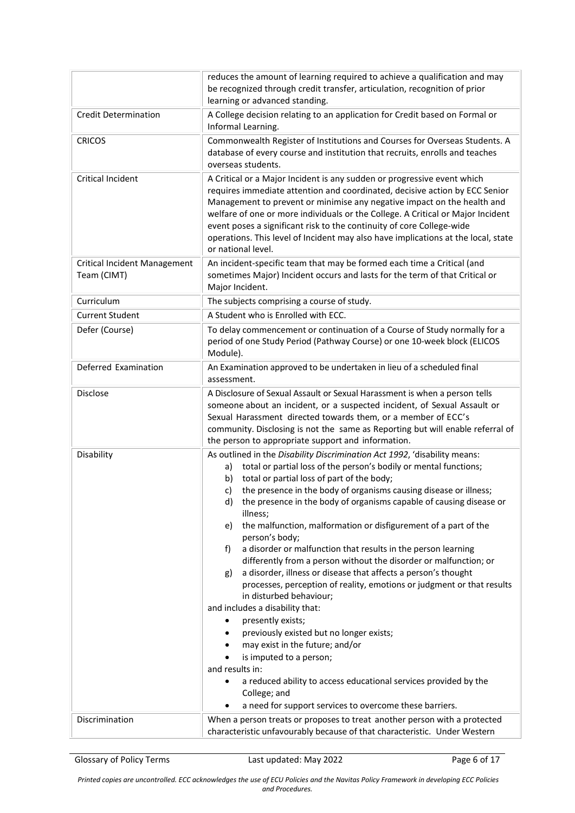|                                                    | reduces the amount of learning required to achieve a qualification and may<br>be recognized through credit transfer, articulation, recognition of prior<br>learning or advanced standing.                                                                                                                                                                                                                                                                                                                                                                                                                                                                                                                                                                                                                                                                                                                                                                                                                                                                                                                                                                                |
|----------------------------------------------------|--------------------------------------------------------------------------------------------------------------------------------------------------------------------------------------------------------------------------------------------------------------------------------------------------------------------------------------------------------------------------------------------------------------------------------------------------------------------------------------------------------------------------------------------------------------------------------------------------------------------------------------------------------------------------------------------------------------------------------------------------------------------------------------------------------------------------------------------------------------------------------------------------------------------------------------------------------------------------------------------------------------------------------------------------------------------------------------------------------------------------------------------------------------------------|
| <b>Credit Determination</b>                        | A College decision relating to an application for Credit based on Formal or<br>Informal Learning.                                                                                                                                                                                                                                                                                                                                                                                                                                                                                                                                                                                                                                                                                                                                                                                                                                                                                                                                                                                                                                                                        |
| <b>CRICOS</b>                                      | Commonwealth Register of Institutions and Courses for Overseas Students. A<br>database of every course and institution that recruits, enrolls and teaches<br>overseas students.                                                                                                                                                                                                                                                                                                                                                                                                                                                                                                                                                                                                                                                                                                                                                                                                                                                                                                                                                                                          |
| Critical Incident                                  | A Critical or a Major Incident is any sudden or progressive event which<br>requires immediate attention and coordinated, decisive action by ECC Senior<br>Management to prevent or minimise any negative impact on the health and<br>welfare of one or more individuals or the College. A Critical or Major Incident<br>event poses a significant risk to the continuity of core College-wide<br>operations. This level of Incident may also have implications at the local, state<br>or national level.                                                                                                                                                                                                                                                                                                                                                                                                                                                                                                                                                                                                                                                                 |
| <b>Critical Incident Management</b><br>Team (CIMT) | An incident-specific team that may be formed each time a Critical (and<br>sometimes Major) Incident occurs and lasts for the term of that Critical or<br>Major Incident.                                                                                                                                                                                                                                                                                                                                                                                                                                                                                                                                                                                                                                                                                                                                                                                                                                                                                                                                                                                                 |
| Curriculum                                         | The subjects comprising a course of study.                                                                                                                                                                                                                                                                                                                                                                                                                                                                                                                                                                                                                                                                                                                                                                                                                                                                                                                                                                                                                                                                                                                               |
| <b>Current Student</b>                             | A Student who is Enrolled with ECC.                                                                                                                                                                                                                                                                                                                                                                                                                                                                                                                                                                                                                                                                                                                                                                                                                                                                                                                                                                                                                                                                                                                                      |
| Defer (Course)                                     | To delay commencement or continuation of a Course of Study normally for a<br>period of one Study Period (Pathway Course) or one 10-week block (ELICOS<br>Module).                                                                                                                                                                                                                                                                                                                                                                                                                                                                                                                                                                                                                                                                                                                                                                                                                                                                                                                                                                                                        |
| Deferred Examination                               | An Examination approved to be undertaken in lieu of a scheduled final<br>assessment.                                                                                                                                                                                                                                                                                                                                                                                                                                                                                                                                                                                                                                                                                                                                                                                                                                                                                                                                                                                                                                                                                     |
| Disclose                                           | A Disclosure of Sexual Assault or Sexual Harassment is when a person tells<br>someone about an incident, or a suspected incident, of Sexual Assault or<br>Sexual Harassment directed towards them, or a member of ECC's<br>community. Disclosing is not the same as Reporting but will enable referral of<br>the person to appropriate support and information.                                                                                                                                                                                                                                                                                                                                                                                                                                                                                                                                                                                                                                                                                                                                                                                                          |
| Disability                                         | As outlined in the Disability Discrimination Act 1992, 'disability means:<br>total or partial loss of the person's bodily or mental functions;<br>a)<br>total or partial loss of part of the body;<br>b)<br>the presence in the body of organisms causing disease or illness;<br>C)<br>the presence in the body of organisms capable of causing disease or<br>d)<br>illness;<br>the malfunction, malformation or disfigurement of a part of the<br>e)<br>person's body;<br>a disorder or malfunction that results in the person learning<br>f)<br>differently from a person without the disorder or malfunction; or<br>a disorder, illness or disease that affects a person's thought<br>g)<br>processes, perception of reality, emotions or judgment or that results<br>in disturbed behaviour;<br>and includes a disability that:<br>presently exists;<br>٠<br>previously existed but no longer exists;<br>$\bullet$<br>may exist in the future; and/or<br>$\bullet$<br>is imputed to a person;<br>٠<br>and results in:<br>a reduced ability to access educational services provided by the<br>College; and<br>a need for support services to overcome these barriers. |
| Discrimination                                     | When a person treats or proposes to treat another person with a protected<br>characteristic unfavourably because of that characteristic. Under Western                                                                                                                                                                                                                                                                                                                                                                                                                                                                                                                                                                                                                                                                                                                                                                                                                                                                                                                                                                                                                   |

Glossary of Policy Terms Last updated: May 2022 Page 6 of 17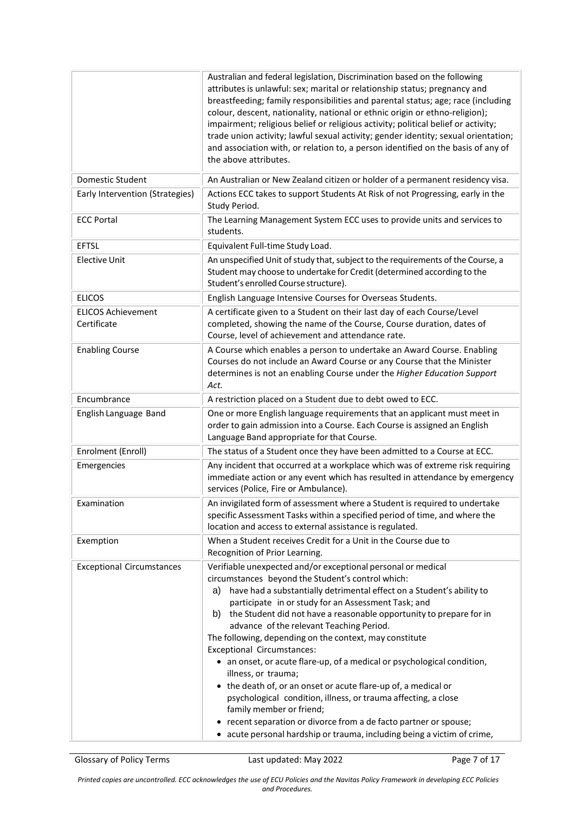|                                          | Australian and federal legislation, Discrimination based on the following<br>attributes is unlawful: sex; marital or relationship status; pregnancy and<br>breastfeeding; family responsibilities and parental status; age; race (including<br>colour, descent, nationality, national or ethnic origin or ethno-religion);<br>impairment; religious belief or religious activity; political belief or activity;<br>trade union activity; lawful sexual activity; gender identity; sexual orientation;<br>and association with, or relation to, a person identified on the basis of any of<br>the above attributes.                                                                                                                                                                                                                                                                          |
|------------------------------------------|---------------------------------------------------------------------------------------------------------------------------------------------------------------------------------------------------------------------------------------------------------------------------------------------------------------------------------------------------------------------------------------------------------------------------------------------------------------------------------------------------------------------------------------------------------------------------------------------------------------------------------------------------------------------------------------------------------------------------------------------------------------------------------------------------------------------------------------------------------------------------------------------|
| Domestic Student                         | An Australian or New Zealand citizen or holder of a permanent residency visa.                                                                                                                                                                                                                                                                                                                                                                                                                                                                                                                                                                                                                                                                                                                                                                                                               |
| Early Intervention (Strategies)          | Actions ECC takes to support Students At Risk of not Progressing, early in the<br>Study Period.                                                                                                                                                                                                                                                                                                                                                                                                                                                                                                                                                                                                                                                                                                                                                                                             |
| <b>ECC Portal</b>                        | The Learning Management System ECC uses to provide units and services to<br>students.                                                                                                                                                                                                                                                                                                                                                                                                                                                                                                                                                                                                                                                                                                                                                                                                       |
| <b>EFTSL</b>                             | Equivalent Full-time Study Load.                                                                                                                                                                                                                                                                                                                                                                                                                                                                                                                                                                                                                                                                                                                                                                                                                                                            |
| <b>Elective Unit</b>                     | An unspecified Unit of study that, subject to the requirements of the Course, a<br>Student may choose to undertake for Credit (determined according to the<br>Student's enrolled Course structure).                                                                                                                                                                                                                                                                                                                                                                                                                                                                                                                                                                                                                                                                                         |
| <b>ELICOS</b>                            | English Language Intensive Courses for Overseas Students.                                                                                                                                                                                                                                                                                                                                                                                                                                                                                                                                                                                                                                                                                                                                                                                                                                   |
| <b>ELICOS Achievement</b><br>Certificate | A certificate given to a Student on their last day of each Course/Level<br>completed, showing the name of the Course, Course duration, dates of<br>Course, level of achievement and attendance rate.                                                                                                                                                                                                                                                                                                                                                                                                                                                                                                                                                                                                                                                                                        |
| <b>Enabling Course</b>                   | A Course which enables a person to undertake an Award Course. Enabling<br>Courses do not include an Award Course or any Course that the Minister<br>determines is not an enabling Course under the Higher Education Support<br>Act.                                                                                                                                                                                                                                                                                                                                                                                                                                                                                                                                                                                                                                                         |
| Encumbrance                              | A restriction placed on a Student due to debt owed to ECC.                                                                                                                                                                                                                                                                                                                                                                                                                                                                                                                                                                                                                                                                                                                                                                                                                                  |
| English Language Band                    | One or more English language requirements that an applicant must meet in<br>order to gain admission into a Course. Each Course is assigned an English<br>Language Band appropriate for that Course.                                                                                                                                                                                                                                                                                                                                                                                                                                                                                                                                                                                                                                                                                         |
| Enrolment (Enroll)                       | The status of a Student once they have been admitted to a Course at ECC.                                                                                                                                                                                                                                                                                                                                                                                                                                                                                                                                                                                                                                                                                                                                                                                                                    |
| Emergencies                              | Any incident that occurred at a workplace which was of extreme risk requiring<br>immediate action or any event which has resulted in attendance by emergency<br>services (Police, Fire or Ambulance).                                                                                                                                                                                                                                                                                                                                                                                                                                                                                                                                                                                                                                                                                       |
| Examination                              | An invigilated form of assessment where a Student is required to undertake<br>specific Assessment Tasks within a specified period of time, and where the<br>location and access to external assistance is regulated.                                                                                                                                                                                                                                                                                                                                                                                                                                                                                                                                                                                                                                                                        |
| Exemption                                | When a Student receives Credit for a Unit in the Course due to<br>Recognition of Prior Learning.                                                                                                                                                                                                                                                                                                                                                                                                                                                                                                                                                                                                                                                                                                                                                                                            |
| <b>Exceptional Circumstances</b>         | Verifiable unexpected and/or exceptional personal or medical<br>circumstances beyond the Student's control which:<br>have had a substantially detrimental effect on a Student's ability to<br>a)<br>participate in or study for an Assessment Task; and<br>the Student did not have a reasonable opportunity to prepare for in<br>b)<br>advance of the relevant Teaching Period.<br>The following, depending on the context, may constitute<br>Exceptional Circumstances:<br>• an onset, or acute flare-up, of a medical or psychological condition,<br>illness, or trauma;<br>• the death of, or an onset or acute flare-up of, a medical or<br>psychological condition, illness, or trauma affecting, a close<br>family member or friend;<br>• recent separation or divorce from a de facto partner or spouse;<br>• acute personal hardship or trauma, including being a victim of crime, |

Glossary of Policy Terms Last updated: May 2022 Page 7 of 17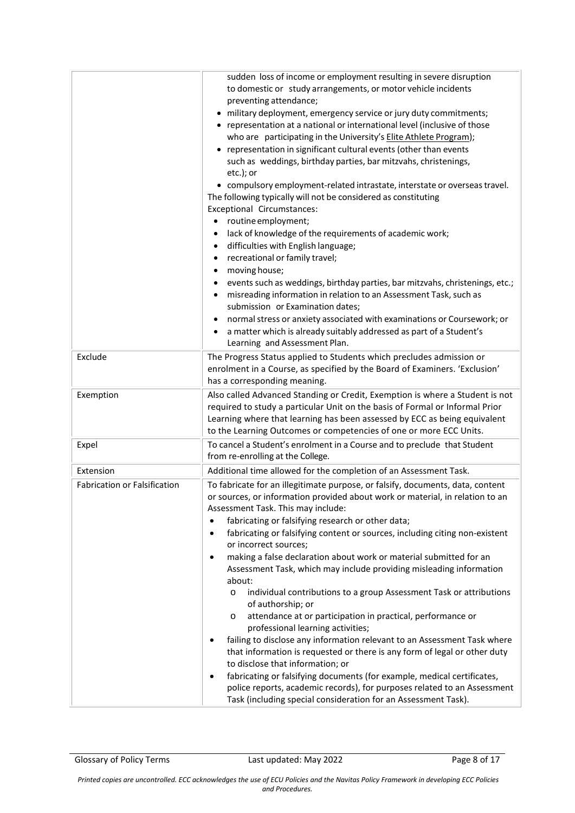|                                     | sudden loss of income or employment resulting in severe disruption<br>to domestic or study arrangements, or motor vehicle incidents<br>preventing attendance;<br>• military deployment, emergency service or jury duty commitments;<br>• representation at a national or international level (inclusive of those<br>who are participating in the University's Elite Athlete Program);<br>• representation in significant cultural events (other than events<br>such as weddings, birthday parties, bar mitzvahs, christenings,<br>etc.); or<br>• compulsory employment-related intrastate, interstate or overseas travel.<br>The following typically will not be considered as constituting<br>Exceptional Circumstances:<br>routine employment;<br>$\bullet$<br>lack of knowledge of the requirements of academic work;<br>difficulties with English language;<br>$\bullet$<br>recreational or family travel;<br>$\bullet$<br>moving house;<br>$\bullet$<br>events such as weddings, birthday parties, bar mitzvahs, christenings, etc.;<br>misreading information in relation to an Assessment Task, such as<br>submission or Examination dates;<br>normal stress or anxiety associated with examinations or Coursework; or<br>٠<br>a matter which is already suitably addressed as part of a Student's<br>Learning and Assessment Plan. |
|-------------------------------------|--------------------------------------------------------------------------------------------------------------------------------------------------------------------------------------------------------------------------------------------------------------------------------------------------------------------------------------------------------------------------------------------------------------------------------------------------------------------------------------------------------------------------------------------------------------------------------------------------------------------------------------------------------------------------------------------------------------------------------------------------------------------------------------------------------------------------------------------------------------------------------------------------------------------------------------------------------------------------------------------------------------------------------------------------------------------------------------------------------------------------------------------------------------------------------------------------------------------------------------------------------------------------------------------------------------------------------------------|
| Exclude                             | The Progress Status applied to Students which precludes admission or<br>enrolment in a Course, as specified by the Board of Examiners. 'Exclusion'<br>has a corresponding meaning.                                                                                                                                                                                                                                                                                                                                                                                                                                                                                                                                                                                                                                                                                                                                                                                                                                                                                                                                                                                                                                                                                                                                                         |
| Exemption                           | Also called Advanced Standing or Credit, Exemption is where a Student is not<br>required to study a particular Unit on the basis of Formal or Informal Prior<br>Learning where that learning has been assessed by ECC as being equivalent<br>to the Learning Outcomes or competencies of one or more ECC Units.                                                                                                                                                                                                                                                                                                                                                                                                                                                                                                                                                                                                                                                                                                                                                                                                                                                                                                                                                                                                                            |
| Expel                               | To cancel a Student's enrolment in a Course and to preclude that Student<br>from re-enrolling at the College.                                                                                                                                                                                                                                                                                                                                                                                                                                                                                                                                                                                                                                                                                                                                                                                                                                                                                                                                                                                                                                                                                                                                                                                                                              |
| Extension                           | Additional time allowed for the completion of an Assessment Task.                                                                                                                                                                                                                                                                                                                                                                                                                                                                                                                                                                                                                                                                                                                                                                                                                                                                                                                                                                                                                                                                                                                                                                                                                                                                          |
| <b>Fabrication or Falsification</b> | To fabricate for an illegitimate purpose, or falsify, documents, data, content<br>or sources, or information provided about work or material, in relation to an<br>Assessment Task. This may include:                                                                                                                                                                                                                                                                                                                                                                                                                                                                                                                                                                                                                                                                                                                                                                                                                                                                                                                                                                                                                                                                                                                                      |
|                                     | fabricating or falsifying research or other data;<br>٠<br>fabricating or falsifying content or sources, including citing non-existent<br>$\bullet$<br>or incorrect sources;<br>making a false declaration about work or material submitted for an<br>$\bullet$<br>Assessment Task, which may include providing misleading information<br>about:<br>individual contributions to a group Assessment Task or attributions<br>$\circ$<br>of authorship; or<br>attendance at or participation in practical, performance or<br>O<br>professional learning activities;<br>failing to disclose any information relevant to an Assessment Task where<br>$\bullet$<br>that information is requested or there is any form of legal or other duty<br>to disclose that information; or<br>fabricating or falsifying documents (for example, medical certificates,<br>$\bullet$<br>police reports, academic records), for purposes related to an Assessment<br>Task (including special consideration for an Assessment Task).                                                                                                                                                                                                                                                                                                                            |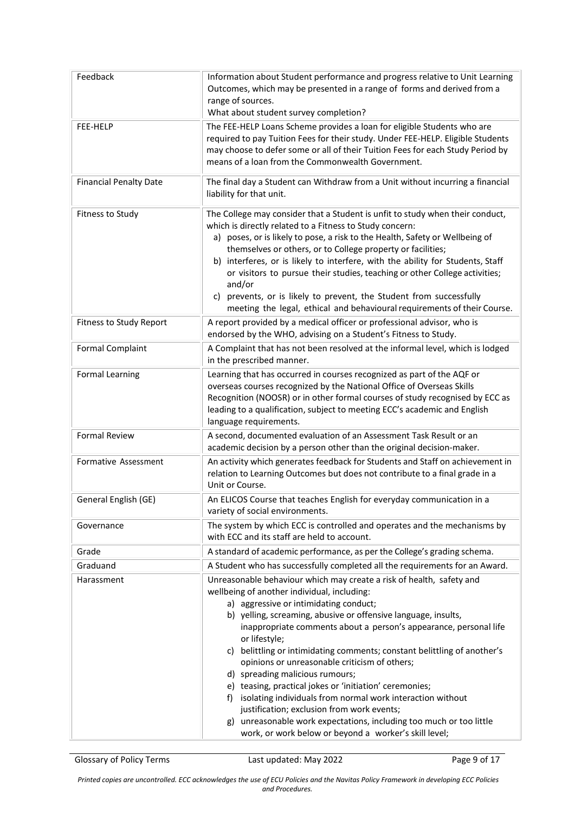| Feedback                      | Information about Student performance and progress relative to Unit Learning<br>Outcomes, which may be presented in a range of forms and derived from a<br>range of sources.<br>What about student survey completion?                                                                                                                                                                                                                                                                                                                                                                                                                                                                                                                                                                           |
|-------------------------------|-------------------------------------------------------------------------------------------------------------------------------------------------------------------------------------------------------------------------------------------------------------------------------------------------------------------------------------------------------------------------------------------------------------------------------------------------------------------------------------------------------------------------------------------------------------------------------------------------------------------------------------------------------------------------------------------------------------------------------------------------------------------------------------------------|
| FEE-HELP                      | The FEE-HELP Loans Scheme provides a loan for eligible Students who are<br>required to pay Tuition Fees for their study. Under FEE-HELP. Eligible Students<br>may choose to defer some or all of their Tuition Fees for each Study Period by<br>means of a loan from the Commonwealth Government.                                                                                                                                                                                                                                                                                                                                                                                                                                                                                               |
| <b>Financial Penalty Date</b> | The final day a Student can Withdraw from a Unit without incurring a financial<br>liability for that unit.                                                                                                                                                                                                                                                                                                                                                                                                                                                                                                                                                                                                                                                                                      |
| Fitness to Study              | The College may consider that a Student is unfit to study when their conduct,<br>which is directly related to a Fitness to Study concern:<br>a) poses, or is likely to pose, a risk to the Health, Safety or Wellbeing of<br>themselves or others, or to College property or facilities;<br>b) interferes, or is likely to interfere, with the ability for Students, Staff<br>or visitors to pursue their studies, teaching or other College activities;<br>and/or<br>prevents, or is likely to prevent, the Student from successfully<br>C)<br>meeting the legal, ethical and behavioural requirements of their Course.                                                                                                                                                                        |
| Fitness to Study Report       | A report provided by a medical officer or professional advisor, who is<br>endorsed by the WHO, advising on a Student's Fitness to Study.                                                                                                                                                                                                                                                                                                                                                                                                                                                                                                                                                                                                                                                        |
| <b>Formal Complaint</b>       | A Complaint that has not been resolved at the informal level, which is lodged<br>in the prescribed manner.                                                                                                                                                                                                                                                                                                                                                                                                                                                                                                                                                                                                                                                                                      |
| <b>Formal Learning</b>        | Learning that has occurred in courses recognized as part of the AQF or<br>overseas courses recognized by the National Office of Overseas Skills<br>Recognition (NOOSR) or in other formal courses of study recognised by ECC as<br>leading to a qualification, subject to meeting ECC's academic and English<br>language requirements.                                                                                                                                                                                                                                                                                                                                                                                                                                                          |
| <b>Formal Review</b>          | A second, documented evaluation of an Assessment Task Result or an<br>academic decision by a person other than the original decision-maker.                                                                                                                                                                                                                                                                                                                                                                                                                                                                                                                                                                                                                                                     |
| Formative Assessment          | An activity which generates feedback for Students and Staff on achievement in<br>relation to Learning Outcomes but does not contribute to a final grade in a<br>Unit or Course.                                                                                                                                                                                                                                                                                                                                                                                                                                                                                                                                                                                                                 |
| General English (GE)          | An ELICOS Course that teaches English for everyday communication in a<br>variety of social environments.                                                                                                                                                                                                                                                                                                                                                                                                                                                                                                                                                                                                                                                                                        |
| Governance                    | The system by which ECC is controlled and operates and the mechanisms by<br>with ECC and its staff are held to account.                                                                                                                                                                                                                                                                                                                                                                                                                                                                                                                                                                                                                                                                         |
| Grade                         | A standard of academic performance, as per the College's grading schema.                                                                                                                                                                                                                                                                                                                                                                                                                                                                                                                                                                                                                                                                                                                        |
| Graduand                      | A Student who has successfully completed all the requirements for an Award.                                                                                                                                                                                                                                                                                                                                                                                                                                                                                                                                                                                                                                                                                                                     |
| Harassment                    | Unreasonable behaviour which may create a risk of health, safety and<br>wellbeing of another individual, including:<br>a) aggressive or intimidating conduct;<br>b) yelling, screaming, abusive or offensive language, insults,<br>inappropriate comments about a person's appearance, personal life<br>or lifestyle;<br>c) belittling or intimidating comments; constant belittling of another's<br>opinions or unreasonable criticism of others;<br>d) spreading malicious rumours;<br>e) teasing, practical jokes or 'initiation' ceremonies;<br>f) isolating individuals from normal work interaction without<br>justification; exclusion from work events;<br>g) unreasonable work expectations, including too much or too little<br>work, or work below or beyond a worker's skill level; |

Glossary of Policy Terms **Last updated: May 2022** Page 9 of 17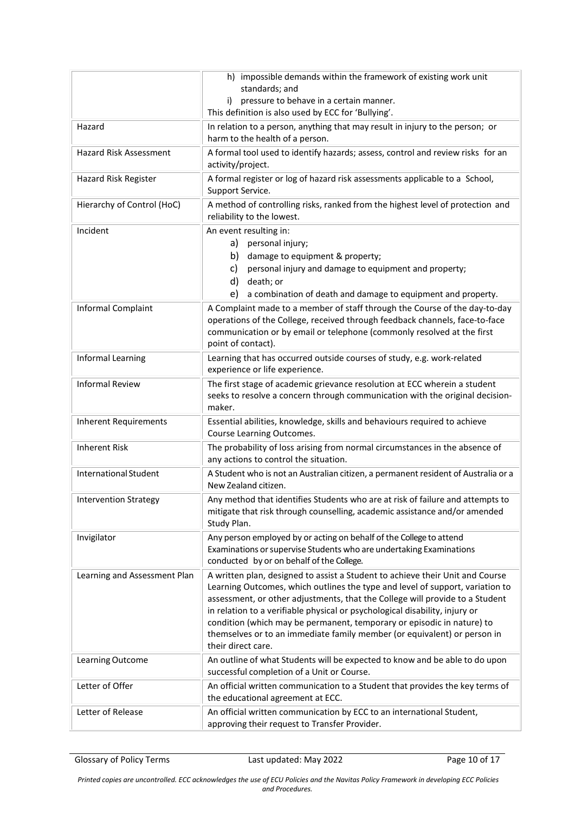|                               | h) impossible demands within the framework of existing work unit<br>standards; and<br>pressure to behave in a certain manner.<br>i)<br>This definition is also used by ECC for 'Bullying'.                                                                                                                                                                                                                                                                                                                |
|-------------------------------|-----------------------------------------------------------------------------------------------------------------------------------------------------------------------------------------------------------------------------------------------------------------------------------------------------------------------------------------------------------------------------------------------------------------------------------------------------------------------------------------------------------|
| Hazard                        | In relation to a person, anything that may result in injury to the person; or<br>harm to the health of a person.                                                                                                                                                                                                                                                                                                                                                                                          |
| <b>Hazard Risk Assessment</b> | A formal tool used to identify hazards; assess, control and review risks for an<br>activity/project.                                                                                                                                                                                                                                                                                                                                                                                                      |
| Hazard Risk Register          | A formal register or log of hazard risk assessments applicable to a School,<br>Support Service.                                                                                                                                                                                                                                                                                                                                                                                                           |
| Hierarchy of Control (HoC)    | A method of controlling risks, ranked from the highest level of protection and<br>reliability to the lowest.                                                                                                                                                                                                                                                                                                                                                                                              |
| Incident                      | An event resulting in:<br>personal injury;<br>a)<br>damage to equipment & property;<br>b)<br>personal injury and damage to equipment and property;<br>C)<br>death; or<br>d)<br>e)<br>a combination of death and damage to equipment and property.                                                                                                                                                                                                                                                         |
| Informal Complaint            | A Complaint made to a member of staff through the Course of the day-to-day<br>operations of the College, received through feedback channels, face-to-face<br>communication or by email or telephone (commonly resolved at the first<br>point of contact).                                                                                                                                                                                                                                                 |
| Informal Learning             | Learning that has occurred outside courses of study, e.g. work-related<br>experience or life experience.                                                                                                                                                                                                                                                                                                                                                                                                  |
| <b>Informal Review</b>        | The first stage of academic grievance resolution at ECC wherein a student<br>seeks to resolve a concern through communication with the original decision-<br>maker.                                                                                                                                                                                                                                                                                                                                       |
| <b>Inherent Requirements</b>  | Essential abilities, knowledge, skills and behaviours required to achieve<br>Course Learning Outcomes.                                                                                                                                                                                                                                                                                                                                                                                                    |
| <b>Inherent Risk</b>          | The probability of loss arising from normal circumstances in the absence of<br>any actions to control the situation.                                                                                                                                                                                                                                                                                                                                                                                      |
| International Student         | A Student who is not an Australian citizen, a permanent resident of Australia or a<br>New Zealand citizen.                                                                                                                                                                                                                                                                                                                                                                                                |
| <b>Intervention Strategy</b>  | Any method that identifies Students who are at risk of failure and attempts to<br>mitigate that risk through counselling, academic assistance and/or amended<br>Study Plan.                                                                                                                                                                                                                                                                                                                               |
| Invigilator                   | Any person employed by or acting on behalf of the College to attend<br>Examinations or supervise Students who are undertaking Examinations<br>conducted by or on behalf of the College.                                                                                                                                                                                                                                                                                                                   |
| Learning and Assessment Plan  | A written plan, designed to assist a Student to achieve their Unit and Course<br>Learning Outcomes, which outlines the type and level of support, variation to<br>assessment, or other adjustments, that the College will provide to a Student<br>in relation to a verifiable physical or psychological disability, injury or<br>condition (which may be permanent, temporary or episodic in nature) to<br>themselves or to an immediate family member (or equivalent) or person in<br>their direct care. |
| Learning Outcome              | An outline of what Students will be expected to know and be able to do upon<br>successful completion of a Unit or Course.                                                                                                                                                                                                                                                                                                                                                                                 |
| Letter of Offer               | An official written communication to a Student that provides the key terms of<br>the educational agreement at ECC.                                                                                                                                                                                                                                                                                                                                                                                        |
| Letter of Release             | An official written communication by ECC to an international Student,<br>approving their request to Transfer Provider.                                                                                                                                                                                                                                                                                                                                                                                    |

Glossary of Policy Terms Last updated: May 2022 Page 10 of 17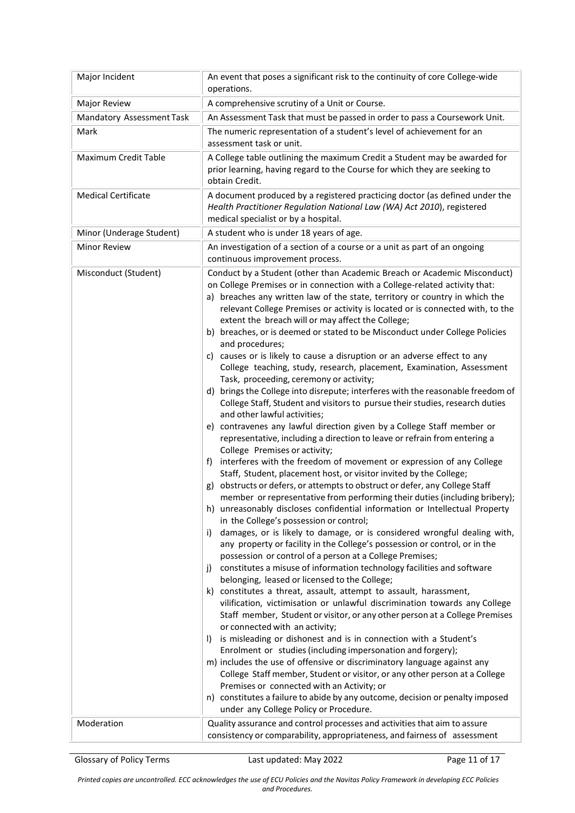| Major Incident                   | An event that poses a significant risk to the continuity of core College-wide<br>operations.                                                                                                                                                                                                                                                                                                                                                                                                                                                                                                                                                                                                                                                                                                                                                                                                                                                                                                                                                                                                                                                                                                                                                                                                                                                                                                                                                                                                                                                                                                                                                                                                                                                                                                                                                                                                                                                                                                                                                                                                                                                                                                                                                                                                                                                                                                                                                                                                                                                                                                                                     |
|----------------------------------|----------------------------------------------------------------------------------------------------------------------------------------------------------------------------------------------------------------------------------------------------------------------------------------------------------------------------------------------------------------------------------------------------------------------------------------------------------------------------------------------------------------------------------------------------------------------------------------------------------------------------------------------------------------------------------------------------------------------------------------------------------------------------------------------------------------------------------------------------------------------------------------------------------------------------------------------------------------------------------------------------------------------------------------------------------------------------------------------------------------------------------------------------------------------------------------------------------------------------------------------------------------------------------------------------------------------------------------------------------------------------------------------------------------------------------------------------------------------------------------------------------------------------------------------------------------------------------------------------------------------------------------------------------------------------------------------------------------------------------------------------------------------------------------------------------------------------------------------------------------------------------------------------------------------------------------------------------------------------------------------------------------------------------------------------------------------------------------------------------------------------------------------------------------------------------------------------------------------------------------------------------------------------------------------------------------------------------------------------------------------------------------------------------------------------------------------------------------------------------------------------------------------------------------------------------------------------------------------------------------------------------|
| Major Review                     | A comprehensive scrutiny of a Unit or Course.                                                                                                                                                                                                                                                                                                                                                                                                                                                                                                                                                                                                                                                                                                                                                                                                                                                                                                                                                                                                                                                                                                                                                                                                                                                                                                                                                                                                                                                                                                                                                                                                                                                                                                                                                                                                                                                                                                                                                                                                                                                                                                                                                                                                                                                                                                                                                                                                                                                                                                                                                                                    |
| <b>Mandatory Assessment Task</b> | An Assessment Task that must be passed in order to pass a Coursework Unit.                                                                                                                                                                                                                                                                                                                                                                                                                                                                                                                                                                                                                                                                                                                                                                                                                                                                                                                                                                                                                                                                                                                                                                                                                                                                                                                                                                                                                                                                                                                                                                                                                                                                                                                                                                                                                                                                                                                                                                                                                                                                                                                                                                                                                                                                                                                                                                                                                                                                                                                                                       |
| Mark                             | The numeric representation of a student's level of achievement for an<br>assessment task or unit.                                                                                                                                                                                                                                                                                                                                                                                                                                                                                                                                                                                                                                                                                                                                                                                                                                                                                                                                                                                                                                                                                                                                                                                                                                                                                                                                                                                                                                                                                                                                                                                                                                                                                                                                                                                                                                                                                                                                                                                                                                                                                                                                                                                                                                                                                                                                                                                                                                                                                                                                |
| Maximum Credit Table             | A College table outlining the maximum Credit a Student may be awarded for<br>prior learning, having regard to the Course for which they are seeking to<br>obtain Credit.                                                                                                                                                                                                                                                                                                                                                                                                                                                                                                                                                                                                                                                                                                                                                                                                                                                                                                                                                                                                                                                                                                                                                                                                                                                                                                                                                                                                                                                                                                                                                                                                                                                                                                                                                                                                                                                                                                                                                                                                                                                                                                                                                                                                                                                                                                                                                                                                                                                         |
| <b>Medical Certificate</b>       | A document produced by a registered practicing doctor (as defined under the<br>Health Practitioner Regulation National Law (WA) Act 2010), registered<br>medical specialist or by a hospital.                                                                                                                                                                                                                                                                                                                                                                                                                                                                                                                                                                                                                                                                                                                                                                                                                                                                                                                                                                                                                                                                                                                                                                                                                                                                                                                                                                                                                                                                                                                                                                                                                                                                                                                                                                                                                                                                                                                                                                                                                                                                                                                                                                                                                                                                                                                                                                                                                                    |
| Minor (Underage Student)         | A student who is under 18 years of age.                                                                                                                                                                                                                                                                                                                                                                                                                                                                                                                                                                                                                                                                                                                                                                                                                                                                                                                                                                                                                                                                                                                                                                                                                                                                                                                                                                                                                                                                                                                                                                                                                                                                                                                                                                                                                                                                                                                                                                                                                                                                                                                                                                                                                                                                                                                                                                                                                                                                                                                                                                                          |
| <b>Minor Review</b>              | An investigation of a section of a course or a unit as part of an ongoing<br>continuous improvement process.                                                                                                                                                                                                                                                                                                                                                                                                                                                                                                                                                                                                                                                                                                                                                                                                                                                                                                                                                                                                                                                                                                                                                                                                                                                                                                                                                                                                                                                                                                                                                                                                                                                                                                                                                                                                                                                                                                                                                                                                                                                                                                                                                                                                                                                                                                                                                                                                                                                                                                                     |
| Misconduct (Student)             | Conduct by a Student (other than Academic Breach or Academic Misconduct)<br>on College Premises or in connection with a College-related activity that:<br>a) breaches any written law of the state, territory or country in which the<br>relevant College Premises or activity is located or is connected with, to the<br>extent the breach will or may affect the College;<br>b) breaches, or is deemed or stated to be Misconduct under College Policies<br>and procedures;<br>c) causes or is likely to cause a disruption or an adverse effect to any<br>College teaching, study, research, placement, Examination, Assessment<br>Task, proceeding, ceremony or activity;<br>d) brings the College into disrepute; interferes with the reasonable freedom of<br>College Staff, Student and visitors to pursue their studies, research duties<br>and other lawful activities;<br>e) contravenes any lawful direction given by a College Staff member or<br>representative, including a direction to leave or refrain from entering a<br>College Premises or activity;<br>interferes with the freedom of movement or expression of any College<br>t).<br>Staff, Student, placement host, or visitor invited by the College;<br>obstructs or defers, or attempts to obstruct or defer, any College Staff<br>member or representative from performing their duties (including bribery);<br>h) unreasonably discloses confidential information or Intellectual Property<br>in the College's possession or control;<br>damages, or is likely to damage, or is considered wrongful dealing with,<br>i)<br>any property or facility in the College's possession or control, or in the<br>possession or control of a person at a College Premises;<br>constitutes a misuse of information technology facilities and software<br>j)<br>belonging, leased or licensed to the College;<br>constitutes a threat, assault, attempt to assault, harassment,<br>k)<br>vilification, victimisation or unlawful discrimination towards any College<br>Staff member, Student or visitor, or any other person at a College Premises<br>or connected with an activity;<br>is misleading or dishonest and is in connection with a Student's<br>I)<br>Enrolment or studies (including impersonation and forgery);<br>m) includes the use of offensive or discriminatory language against any<br>College Staff member, Student or visitor, or any other person at a College<br>Premises or connected with an Activity; or<br>n) constitutes a failure to abide by any outcome, decision or penalty imposed<br>under any College Policy or Procedure. |
| Moderation                       | Quality assurance and control processes and activities that aim to assure<br>consistency or comparability, appropriateness, and fairness of assessment                                                                                                                                                                                                                                                                                                                                                                                                                                                                                                                                                                                                                                                                                                                                                                                                                                                                                                                                                                                                                                                                                                                                                                                                                                                                                                                                                                                                                                                                                                                                                                                                                                                                                                                                                                                                                                                                                                                                                                                                                                                                                                                                                                                                                                                                                                                                                                                                                                                                           |

Glossary of Policy Terms Last updated: May 2022 Page 11 of 17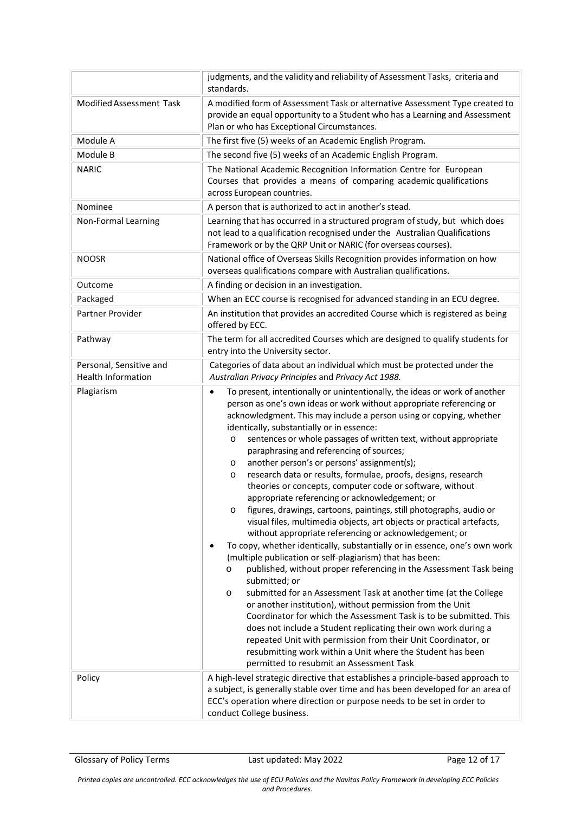|                                                      | judgments, and the validity and reliability of Assessment Tasks, criteria and<br>standards.                                                                                                                                                                                                                                                                                                                                                                                                                                                                                                                                                                                                                                                                                                                                                                                                                                                                                                                                                                                                                                                                                                                                                                                                                                                                                                                                                                                                                                                                                                                    |
|------------------------------------------------------|----------------------------------------------------------------------------------------------------------------------------------------------------------------------------------------------------------------------------------------------------------------------------------------------------------------------------------------------------------------------------------------------------------------------------------------------------------------------------------------------------------------------------------------------------------------------------------------------------------------------------------------------------------------------------------------------------------------------------------------------------------------------------------------------------------------------------------------------------------------------------------------------------------------------------------------------------------------------------------------------------------------------------------------------------------------------------------------------------------------------------------------------------------------------------------------------------------------------------------------------------------------------------------------------------------------------------------------------------------------------------------------------------------------------------------------------------------------------------------------------------------------------------------------------------------------------------------------------------------------|
| Modified Assessment Task                             | A modified form of Assessment Task or alternative Assessment Type created to<br>provide an equal opportunity to a Student who has a Learning and Assessment<br>Plan or who has Exceptional Circumstances.                                                                                                                                                                                                                                                                                                                                                                                                                                                                                                                                                                                                                                                                                                                                                                                                                                                                                                                                                                                                                                                                                                                                                                                                                                                                                                                                                                                                      |
| Module A                                             | The first five (5) weeks of an Academic English Program.                                                                                                                                                                                                                                                                                                                                                                                                                                                                                                                                                                                                                                                                                                                                                                                                                                                                                                                                                                                                                                                                                                                                                                                                                                                                                                                                                                                                                                                                                                                                                       |
| Module B                                             | The second five (5) weeks of an Academic English Program.                                                                                                                                                                                                                                                                                                                                                                                                                                                                                                                                                                                                                                                                                                                                                                                                                                                                                                                                                                                                                                                                                                                                                                                                                                                                                                                                                                                                                                                                                                                                                      |
| <b>NARIC</b>                                         | The National Academic Recognition Information Centre for European<br>Courses that provides a means of comparing academic qualifications<br>across European countries.                                                                                                                                                                                                                                                                                                                                                                                                                                                                                                                                                                                                                                                                                                                                                                                                                                                                                                                                                                                                                                                                                                                                                                                                                                                                                                                                                                                                                                          |
| Nominee                                              | A person that is authorized to act in another's stead.                                                                                                                                                                                                                                                                                                                                                                                                                                                                                                                                                                                                                                                                                                                                                                                                                                                                                                                                                                                                                                                                                                                                                                                                                                                                                                                                                                                                                                                                                                                                                         |
| Non-Formal Learning                                  | Learning that has occurred in a structured program of study, but which does<br>not lead to a qualification recognised under the Australian Qualifications<br>Framework or by the QRP Unit or NARIC (for overseas courses).                                                                                                                                                                                                                                                                                                                                                                                                                                                                                                                                                                                                                                                                                                                                                                                                                                                                                                                                                                                                                                                                                                                                                                                                                                                                                                                                                                                     |
| <b>NOOSR</b>                                         | National office of Overseas Skills Recognition provides information on how<br>overseas qualifications compare with Australian qualifications.                                                                                                                                                                                                                                                                                                                                                                                                                                                                                                                                                                                                                                                                                                                                                                                                                                                                                                                                                                                                                                                                                                                                                                                                                                                                                                                                                                                                                                                                  |
| Outcome                                              | A finding or decision in an investigation.                                                                                                                                                                                                                                                                                                                                                                                                                                                                                                                                                                                                                                                                                                                                                                                                                                                                                                                                                                                                                                                                                                                                                                                                                                                                                                                                                                                                                                                                                                                                                                     |
| Packaged                                             | When an ECC course is recognised for advanced standing in an ECU degree.                                                                                                                                                                                                                                                                                                                                                                                                                                                                                                                                                                                                                                                                                                                                                                                                                                                                                                                                                                                                                                                                                                                                                                                                                                                                                                                                                                                                                                                                                                                                       |
| Partner Provider                                     | An institution that provides an accredited Course which is registered as being<br>offered by ECC.                                                                                                                                                                                                                                                                                                                                                                                                                                                                                                                                                                                                                                                                                                                                                                                                                                                                                                                                                                                                                                                                                                                                                                                                                                                                                                                                                                                                                                                                                                              |
| Pathway                                              | The term for all accredited Courses which are designed to qualify students for<br>entry into the University sector.                                                                                                                                                                                                                                                                                                                                                                                                                                                                                                                                                                                                                                                                                                                                                                                                                                                                                                                                                                                                                                                                                                                                                                                                                                                                                                                                                                                                                                                                                            |
| Personal, Sensitive and<br><b>Health Information</b> | Categories of data about an individual which must be protected under the<br>Australian Privacy Principles and Privacy Act 1988.                                                                                                                                                                                                                                                                                                                                                                                                                                                                                                                                                                                                                                                                                                                                                                                                                                                                                                                                                                                                                                                                                                                                                                                                                                                                                                                                                                                                                                                                                |
| Plagiarism                                           | To present, intentionally or unintentionally, the ideas or work of another<br>$\bullet$<br>person as one's own ideas or work without appropriate referencing or<br>acknowledgment. This may include a person using or copying, whether<br>identically, substantially or in essence:<br>sentences or whole passages of written text, without appropriate<br>$\circ$<br>paraphrasing and referencing of sources;<br>another person's or persons' assignment(s);<br>$\circ$<br>research data or results, formulae, proofs, designs, research<br>$\circ$<br>theories or concepts, computer code or software, without<br>appropriate referencing or acknowledgement; or<br>figures, drawings, cartoons, paintings, still photographs, audio or<br>$\circ$<br>visual files, multimedia objects, art objects or practical artefacts,<br>without appropriate referencing or acknowledgement; or<br>To copy, whether identically, substantially or in essence, one's own work<br>$\bullet$<br>(multiple publication or self-plagiarism) that has been:<br>published, without proper referencing in the Assessment Task being<br>$\circ$<br>submitted; or<br>submitted for an Assessment Task at another time (at the College<br>$\circ$<br>or another institution), without permission from the Unit<br>Coordinator for which the Assessment Task is to be submitted. This<br>does not include a Student replicating their own work during a<br>repeated Unit with permission from their Unit Coordinator, or<br>resubmitting work within a Unit where the Student has been<br>permitted to resubmit an Assessment Task |
| Policy                                               | A high-level strategic directive that establishes a principle-based approach to<br>a subject, is generally stable over time and has been developed for an area of<br>ECC's operation where direction or purpose needs to be set in order to<br>conduct College business.                                                                                                                                                                                                                                                                                                                                                                                                                                                                                                                                                                                                                                                                                                                                                                                                                                                                                                                                                                                                                                                                                                                                                                                                                                                                                                                                       |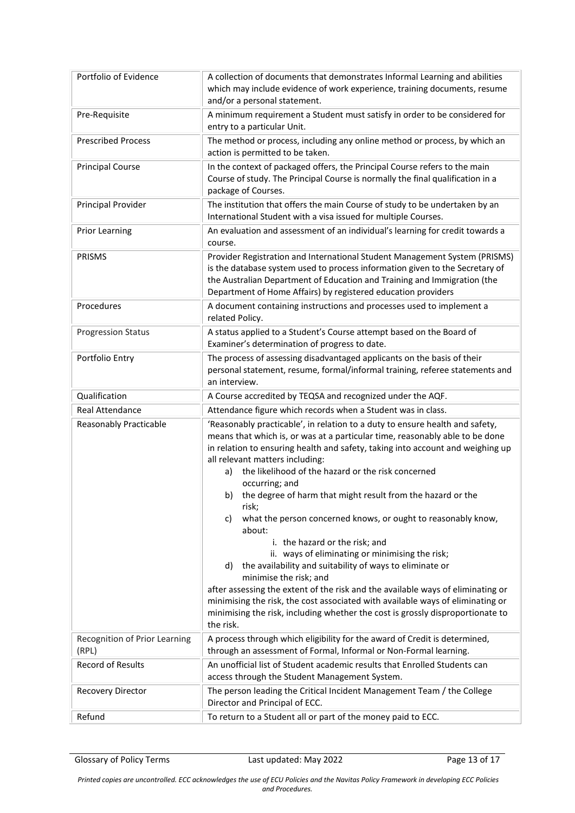| Portfolio of Evidence                  | A collection of documents that demonstrates Informal Learning and abilities<br>which may include evidence of work experience, training documents, resume<br>and/or a personal statement.                                                                                                                                                                                                                                                                                                                                                                                                                                                                                                                                                                                                                                                                                                                                                                                         |
|----------------------------------------|----------------------------------------------------------------------------------------------------------------------------------------------------------------------------------------------------------------------------------------------------------------------------------------------------------------------------------------------------------------------------------------------------------------------------------------------------------------------------------------------------------------------------------------------------------------------------------------------------------------------------------------------------------------------------------------------------------------------------------------------------------------------------------------------------------------------------------------------------------------------------------------------------------------------------------------------------------------------------------|
| Pre-Requisite                          | A minimum requirement a Student must satisfy in order to be considered for<br>entry to a particular Unit.                                                                                                                                                                                                                                                                                                                                                                                                                                                                                                                                                                                                                                                                                                                                                                                                                                                                        |
| <b>Prescribed Process</b>              | The method or process, including any online method or process, by which an<br>action is permitted to be taken.                                                                                                                                                                                                                                                                                                                                                                                                                                                                                                                                                                                                                                                                                                                                                                                                                                                                   |
| <b>Principal Course</b>                | In the context of packaged offers, the Principal Course refers to the main<br>Course of study. The Principal Course is normally the final qualification in a<br>package of Courses.                                                                                                                                                                                                                                                                                                                                                                                                                                                                                                                                                                                                                                                                                                                                                                                              |
| Principal Provider                     | The institution that offers the main Course of study to be undertaken by an<br>International Student with a visa issued for multiple Courses.                                                                                                                                                                                                                                                                                                                                                                                                                                                                                                                                                                                                                                                                                                                                                                                                                                    |
| <b>Prior Learning</b>                  | An evaluation and assessment of an individual's learning for credit towards a<br>course.                                                                                                                                                                                                                                                                                                                                                                                                                                                                                                                                                                                                                                                                                                                                                                                                                                                                                         |
| <b>PRISMS</b>                          | Provider Registration and International Student Management System (PRISMS)<br>is the database system used to process information given to the Secretary of<br>the Australian Department of Education and Training and Immigration (the<br>Department of Home Affairs) by registered education providers                                                                                                                                                                                                                                                                                                                                                                                                                                                                                                                                                                                                                                                                          |
| Procedures                             | A document containing instructions and processes used to implement a<br>related Policy.                                                                                                                                                                                                                                                                                                                                                                                                                                                                                                                                                                                                                                                                                                                                                                                                                                                                                          |
| <b>Progression Status</b>              | A status applied to a Student's Course attempt based on the Board of<br>Examiner's determination of progress to date.                                                                                                                                                                                                                                                                                                                                                                                                                                                                                                                                                                                                                                                                                                                                                                                                                                                            |
| Portfolio Entry                        | The process of assessing disadvantaged applicants on the basis of their<br>personal statement, resume, formal/informal training, referee statements and<br>an interview.                                                                                                                                                                                                                                                                                                                                                                                                                                                                                                                                                                                                                                                                                                                                                                                                         |
| Qualification                          | A Course accredited by TEQSA and recognized under the AQF.                                                                                                                                                                                                                                                                                                                                                                                                                                                                                                                                                                                                                                                                                                                                                                                                                                                                                                                       |
| <b>Real Attendance</b>                 | Attendance figure which records when a Student was in class.                                                                                                                                                                                                                                                                                                                                                                                                                                                                                                                                                                                                                                                                                                                                                                                                                                                                                                                     |
| <b>Reasonably Practicable</b>          | 'Reasonably practicable', in relation to a duty to ensure health and safety,<br>means that which is, or was at a particular time, reasonably able to be done<br>in relation to ensuring health and safety, taking into account and weighing up<br>all relevant matters including:<br>the likelihood of the hazard or the risk concerned<br>a)<br>occurring; and<br>b) the degree of harm that might result from the hazard or the<br>risk;<br>what the person concerned knows, or ought to reasonably know,<br>c)<br>about:<br>i. the hazard or the risk; and<br>ii. ways of eliminating or minimising the risk;<br>the availability and suitability of ways to eliminate or<br>d)<br>minimise the risk; and<br>after assessing the extent of the risk and the available ways of eliminating or<br>minimising the risk, the cost associated with available ways of eliminating or<br>minimising the risk, including whether the cost is grossly disproportionate to<br>the risk. |
| Recognition of Prior Learning<br>(RPL) | A process through which eligibility for the award of Credit is determined,<br>through an assessment of Formal, Informal or Non-Formal learning.                                                                                                                                                                                                                                                                                                                                                                                                                                                                                                                                                                                                                                                                                                                                                                                                                                  |
| <b>Record of Results</b>               | An unofficial list of Student academic results that Enrolled Students can<br>access through the Student Management System.                                                                                                                                                                                                                                                                                                                                                                                                                                                                                                                                                                                                                                                                                                                                                                                                                                                       |
| Recovery Director                      | The person leading the Critical Incident Management Team / the College<br>Director and Principal of ECC.                                                                                                                                                                                                                                                                                                                                                                                                                                                                                                                                                                                                                                                                                                                                                                                                                                                                         |
| Refund                                 | To return to a Student all or part of the money paid to ECC.                                                                                                                                                                                                                                                                                                                                                                                                                                                                                                                                                                                                                                                                                                                                                                                                                                                                                                                     |

Glossary of Policy Terms **Last updated: May 2022** Page 13 of 17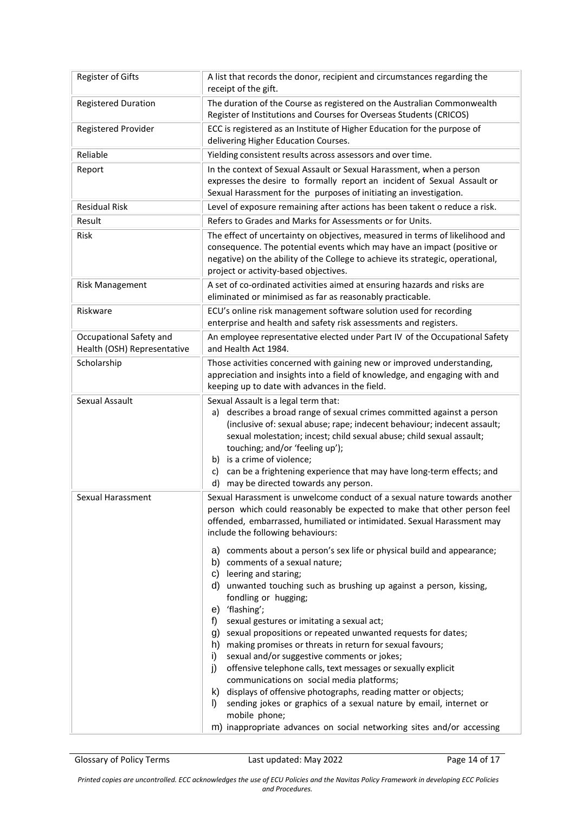| Register of Gifts                                      | A list that records the donor, recipient and circumstances regarding the<br>receipt of the gift.                                                                                                                                                                                                                                                                                                                                                                                                                                                                                                                                                                                                                                                                                                                                                                   |
|--------------------------------------------------------|--------------------------------------------------------------------------------------------------------------------------------------------------------------------------------------------------------------------------------------------------------------------------------------------------------------------------------------------------------------------------------------------------------------------------------------------------------------------------------------------------------------------------------------------------------------------------------------------------------------------------------------------------------------------------------------------------------------------------------------------------------------------------------------------------------------------------------------------------------------------|
| <b>Registered Duration</b>                             | The duration of the Course as registered on the Australian Commonwealth<br>Register of Institutions and Courses for Overseas Students (CRICOS)                                                                                                                                                                                                                                                                                                                                                                                                                                                                                                                                                                                                                                                                                                                     |
| Registered Provider                                    | ECC is registered as an Institute of Higher Education for the purpose of<br>delivering Higher Education Courses.                                                                                                                                                                                                                                                                                                                                                                                                                                                                                                                                                                                                                                                                                                                                                   |
| Reliable                                               | Yielding consistent results across assessors and over time.                                                                                                                                                                                                                                                                                                                                                                                                                                                                                                                                                                                                                                                                                                                                                                                                        |
| Report                                                 | In the context of Sexual Assault or Sexual Harassment, when a person<br>expresses the desire to formally report an incident of Sexual Assault or<br>Sexual Harassment for the purposes of initiating an investigation.                                                                                                                                                                                                                                                                                                                                                                                                                                                                                                                                                                                                                                             |
| <b>Residual Risk</b>                                   | Level of exposure remaining after actions has been takent o reduce a risk.                                                                                                                                                                                                                                                                                                                                                                                                                                                                                                                                                                                                                                                                                                                                                                                         |
| Result                                                 | Refers to Grades and Marks for Assessments or for Units.                                                                                                                                                                                                                                                                                                                                                                                                                                                                                                                                                                                                                                                                                                                                                                                                           |
| <b>Risk</b>                                            | The effect of uncertainty on objectives, measured in terms of likelihood and<br>consequence. The potential events which may have an impact (positive or<br>negative) on the ability of the College to achieve its strategic, operational,<br>project or activity-based objectives.                                                                                                                                                                                                                                                                                                                                                                                                                                                                                                                                                                                 |
| <b>Risk Management</b>                                 | A set of co-ordinated activities aimed at ensuring hazards and risks are<br>eliminated or minimised as far as reasonably practicable.                                                                                                                                                                                                                                                                                                                                                                                                                                                                                                                                                                                                                                                                                                                              |
| Riskware                                               | ECU's online risk management software solution used for recording<br>enterprise and health and safety risk assessments and registers.                                                                                                                                                                                                                                                                                                                                                                                                                                                                                                                                                                                                                                                                                                                              |
| Occupational Safety and<br>Health (OSH) Representative | An employee representative elected under Part IV of the Occupational Safety<br>and Health Act 1984.                                                                                                                                                                                                                                                                                                                                                                                                                                                                                                                                                                                                                                                                                                                                                                |
| Scholarship                                            | Those activities concerned with gaining new or improved understanding,<br>appreciation and insights into a field of knowledge, and engaging with and<br>keeping up to date with advances in the field.                                                                                                                                                                                                                                                                                                                                                                                                                                                                                                                                                                                                                                                             |
| Sexual Assault                                         | Sexual Assault is a legal term that:<br>a) describes a broad range of sexual crimes committed against a person<br>(inclusive of: sexual abuse; rape; indecent behaviour; indecent assault;<br>sexual molestation; incest; child sexual abuse; child sexual assault;<br>touching; and/or 'feeling up');<br>b) is a crime of violence;<br>can be a frightening experience that may have long-term effects; and<br>C)<br>d) may be directed towards any person.                                                                                                                                                                                                                                                                                                                                                                                                       |
| Sexual Harassment                                      | Sexual Harassment is unwelcome conduct of a sexual nature towards another<br>person which could reasonably be expected to make that other person feel<br>offended, embarrassed, humiliated or intimidated. Sexual Harassment may<br>include the following behaviours:                                                                                                                                                                                                                                                                                                                                                                                                                                                                                                                                                                                              |
|                                                        | a) comments about a person's sex life or physical build and appearance;<br>b) comments of a sexual nature;<br>leering and staring;<br>C)<br>d) unwanted touching such as brushing up against a person, kissing,<br>fondling or hugging;<br>e) 'flashing';<br>sexual gestures or imitating a sexual act;<br>f)<br>g) sexual propositions or repeated unwanted requests for dates;<br>h) making promises or threats in return for sexual favours;<br>sexual and/or suggestive comments or jokes;<br>i)<br>offensive telephone calls, text messages or sexually explicit<br>j)<br>communications on social media platforms;<br>k) displays of offensive photographs, reading matter or objects;<br>sending jokes or graphics of a sexual nature by email, internet or<br>I)<br>mobile phone;<br>m) inappropriate advances on social networking sites and/or accessing |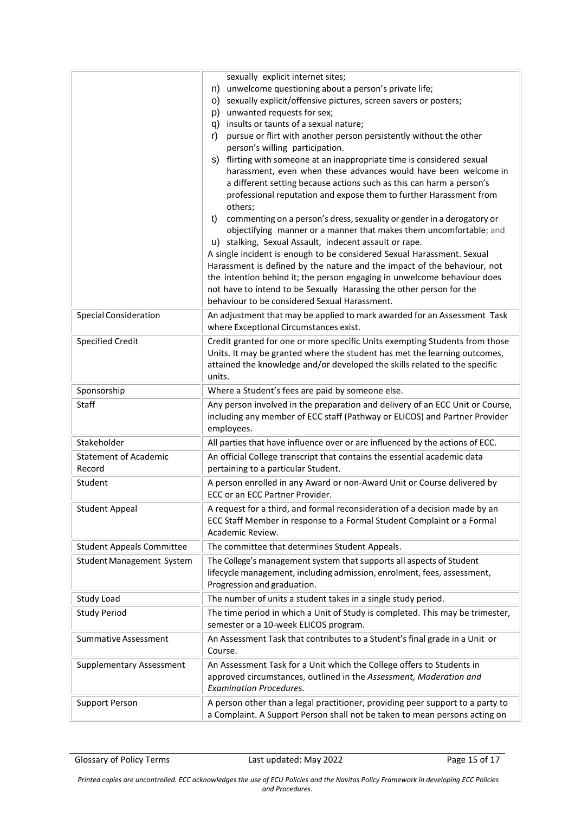|                                        | sexually explicit internet sites;<br>unwelcome questioning about a person's private life;<br>n)<br>sexually explicit/offensive pictures, screen savers or posters;<br>O)<br>unwanted requests for sex;<br>p)<br>insults or taunts of a sexual nature;<br>q)<br>pursue or flirt with another person persistently without the other<br>r)<br>person's willing participation.<br>flirting with someone at an inappropriate time is considered sexual<br>S)<br>harassment, even when these advances would have been welcome in<br>a different setting because actions such as this can harm a person's<br>professional reputation and expose them to further Harassment from<br>others;<br>commenting on a person's dress, sexuality or gender in a derogatory or<br>t)<br>objectifying manner or a manner that makes them uncomfortable; and<br>u) stalking, Sexual Assault, indecent assault or rape.<br>A single incident is enough to be considered Sexual Harassment. Sexual<br>Harassment is defined by the nature and the impact of the behaviour, not<br>the intention behind it; the person engaging in unwelcome behaviour does<br>not have to intend to be Sexually Harassing the other person for the<br>behaviour to be considered Sexual Harassment. |
|----------------------------------------|----------------------------------------------------------------------------------------------------------------------------------------------------------------------------------------------------------------------------------------------------------------------------------------------------------------------------------------------------------------------------------------------------------------------------------------------------------------------------------------------------------------------------------------------------------------------------------------------------------------------------------------------------------------------------------------------------------------------------------------------------------------------------------------------------------------------------------------------------------------------------------------------------------------------------------------------------------------------------------------------------------------------------------------------------------------------------------------------------------------------------------------------------------------------------------------------------------------------------------------------------------------|
| <b>Special Consideration</b>           | An adjustment that may be applied to mark awarded for an Assessment Task<br>where Exceptional Circumstances exist.                                                                                                                                                                                                                                                                                                                                                                                                                                                                                                                                                                                                                                                                                                                                                                                                                                                                                                                                                                                                                                                                                                                                             |
| <b>Specified Credit</b>                | Credit granted for one or more specific Units exempting Students from those<br>Units. It may be granted where the student has met the learning outcomes,<br>attained the knowledge and/or developed the skills related to the specific<br>units.                                                                                                                                                                                                                                                                                                                                                                                                                                                                                                                                                                                                                                                                                                                                                                                                                                                                                                                                                                                                               |
| Sponsorship                            | Where a Student's fees are paid by someone else.                                                                                                                                                                                                                                                                                                                                                                                                                                                                                                                                                                                                                                                                                                                                                                                                                                                                                                                                                                                                                                                                                                                                                                                                               |
| Staff                                  | Any person involved in the preparation and delivery of an ECC Unit or Course,<br>including any member of ECC staff (Pathway or ELICOS) and Partner Provider<br>employees.                                                                                                                                                                                                                                                                                                                                                                                                                                                                                                                                                                                                                                                                                                                                                                                                                                                                                                                                                                                                                                                                                      |
| Stakeholder                            | All parties that have influence over or are influenced by the actions of ECC.                                                                                                                                                                                                                                                                                                                                                                                                                                                                                                                                                                                                                                                                                                                                                                                                                                                                                                                                                                                                                                                                                                                                                                                  |
| <b>Statement of Academic</b><br>Record | An official College transcript that contains the essential academic data<br>pertaining to a particular Student.                                                                                                                                                                                                                                                                                                                                                                                                                                                                                                                                                                                                                                                                                                                                                                                                                                                                                                                                                                                                                                                                                                                                                |
| Student                                | A person enrolled in any Award or non-Award Unit or Course delivered by<br>ECC or an ECC Partner Provider.                                                                                                                                                                                                                                                                                                                                                                                                                                                                                                                                                                                                                                                                                                                                                                                                                                                                                                                                                                                                                                                                                                                                                     |
| <b>Student Appeal</b>                  | A request for a third, and formal reconsideration of a decision made by an<br>ECC Staff Member in response to a Formal Student Complaint or a Formal<br>Academic Review.                                                                                                                                                                                                                                                                                                                                                                                                                                                                                                                                                                                                                                                                                                                                                                                                                                                                                                                                                                                                                                                                                       |
| <b>Student Appeals Committee</b>       | The committee that determines Student Appeals.                                                                                                                                                                                                                                                                                                                                                                                                                                                                                                                                                                                                                                                                                                                                                                                                                                                                                                                                                                                                                                                                                                                                                                                                                 |
| <b>Student Management System</b>       | The College's management system that supports all aspects of Student<br>lifecycle management, including admission, enrolment, fees, assessment,<br>Progression and graduation.                                                                                                                                                                                                                                                                                                                                                                                                                                                                                                                                                                                                                                                                                                                                                                                                                                                                                                                                                                                                                                                                                 |
| Study Load                             | The number of units a student takes in a single study period.                                                                                                                                                                                                                                                                                                                                                                                                                                                                                                                                                                                                                                                                                                                                                                                                                                                                                                                                                                                                                                                                                                                                                                                                  |
| <b>Study Period</b>                    | The time period in which a Unit of Study is completed. This may be trimester,<br>semester or a 10-week ELICOS program.                                                                                                                                                                                                                                                                                                                                                                                                                                                                                                                                                                                                                                                                                                                                                                                                                                                                                                                                                                                                                                                                                                                                         |
| Summative Assessment                   | An Assessment Task that contributes to a Student's final grade in a Unit or<br>Course.                                                                                                                                                                                                                                                                                                                                                                                                                                                                                                                                                                                                                                                                                                                                                                                                                                                                                                                                                                                                                                                                                                                                                                         |
| <b>Supplementary Assessment</b>        | An Assessment Task for a Unit which the College offers to Students in<br>approved circumstances, outlined in the Assessment, Moderation and<br><b>Examination Procedures.</b>                                                                                                                                                                                                                                                                                                                                                                                                                                                                                                                                                                                                                                                                                                                                                                                                                                                                                                                                                                                                                                                                                  |
| <b>Support Person</b>                  | A person other than a legal practitioner, providing peer support to a party to<br>a Complaint. A Support Person shall not be taken to mean persons acting on                                                                                                                                                                                                                                                                                                                                                                                                                                                                                                                                                                                                                                                                                                                                                                                                                                                                                                                                                                                                                                                                                                   |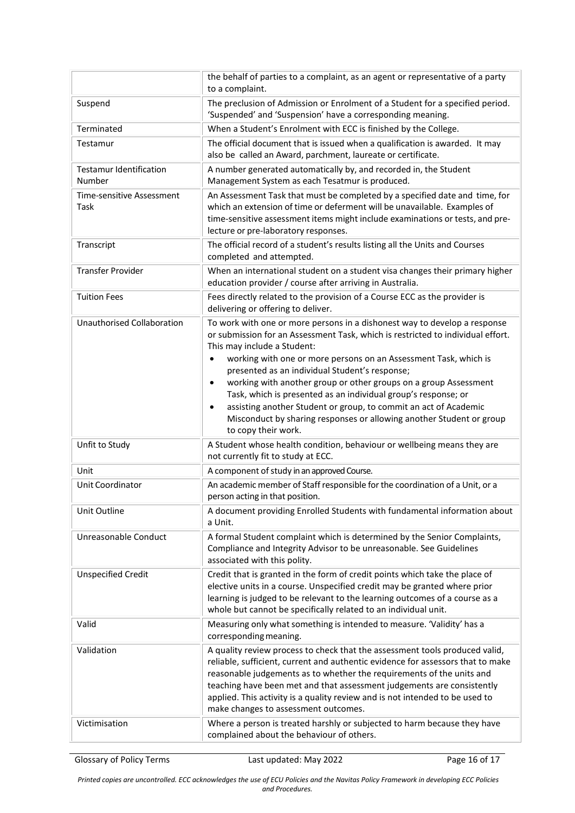|                                          | the behalf of parties to a complaint, as an agent or representative of a party<br>to a complaint.                                                                                                                                                                                                                                                                                                                                                                                                                                                          |
|------------------------------------------|------------------------------------------------------------------------------------------------------------------------------------------------------------------------------------------------------------------------------------------------------------------------------------------------------------------------------------------------------------------------------------------------------------------------------------------------------------------------------------------------------------------------------------------------------------|
| Suspend                                  | The preclusion of Admission or Enrolment of a Student for a specified period.<br>'Suspended' and 'Suspension' have a corresponding meaning.                                                                                                                                                                                                                                                                                                                                                                                                                |
| Terminated                               | When a Student's Enrolment with ECC is finished by the College.                                                                                                                                                                                                                                                                                                                                                                                                                                                                                            |
| Testamur                                 | The official document that is issued when a qualification is awarded. It may<br>also be called an Award, parchment, laureate or certificate.                                                                                                                                                                                                                                                                                                                                                                                                               |
| <b>Testamur Identification</b><br>Number | A number generated automatically by, and recorded in, the Student<br>Management System as each Tesatmur is produced.                                                                                                                                                                                                                                                                                                                                                                                                                                       |
| Time-sensitive Assessment<br>Task        | An Assessment Task that must be completed by a specified date and time, for<br>which an extension of time or deferment will be unavailable. Examples of<br>time-sensitive assessment items might include examinations or tests, and pre-<br>lecture or pre-laboratory responses.                                                                                                                                                                                                                                                                           |
| Transcript                               | The official record of a student's results listing all the Units and Courses<br>completed and attempted.                                                                                                                                                                                                                                                                                                                                                                                                                                                   |
| <b>Transfer Provider</b>                 | When an international student on a student visa changes their primary higher<br>education provider / course after arriving in Australia.                                                                                                                                                                                                                                                                                                                                                                                                                   |
| <b>Tuition Fees</b>                      | Fees directly related to the provision of a Course ECC as the provider is<br>delivering or offering to deliver.                                                                                                                                                                                                                                                                                                                                                                                                                                            |
| <b>Unauthorised Collaboration</b>        | To work with one or more persons in a dishonest way to develop a response<br>or submission for an Assessment Task, which is restricted to individual effort.<br>This may include a Student:<br>working with one or more persons on an Assessment Task, which is<br>$\bullet$<br>presented as an individual Student's response;<br>working with another group or other groups on a group Assessment<br>$\bullet$<br>Task, which is presented as an individual group's response; or<br>assisting another Student or group, to commit an act of Academic<br>٠ |
|                                          | Misconduct by sharing responses or allowing another Student or group<br>to copy their work.                                                                                                                                                                                                                                                                                                                                                                                                                                                                |
| Unfit to Study                           | A Student whose health condition, behaviour or wellbeing means they are<br>not currently fit to study at ECC.                                                                                                                                                                                                                                                                                                                                                                                                                                              |
| Unit                                     | A component of study in an approved Course.                                                                                                                                                                                                                                                                                                                                                                                                                                                                                                                |
| Unit Coordinator                         | An academic member of Staff responsible for the coordination of a Unit, or a<br>person acting in that position.                                                                                                                                                                                                                                                                                                                                                                                                                                            |
| Unit Outline                             | A document providing Enrolled Students with fundamental information about<br>a Unit.                                                                                                                                                                                                                                                                                                                                                                                                                                                                       |
| Unreasonable Conduct                     | A formal Student complaint which is determined by the Senior Complaints,<br>Compliance and Integrity Advisor to be unreasonable. See Guidelines<br>associated with this polity.                                                                                                                                                                                                                                                                                                                                                                            |
| <b>Unspecified Credit</b>                | Credit that is granted in the form of credit points which take the place of<br>elective units in a course. Unspecified credit may be granted where prior<br>learning is judged to be relevant to the learning outcomes of a course as a<br>whole but cannot be specifically related to an individual unit.                                                                                                                                                                                                                                                 |
| Valid                                    | Measuring only what something is intended to measure. 'Validity' has a<br>corresponding meaning.                                                                                                                                                                                                                                                                                                                                                                                                                                                           |
| Validation                               | A quality review process to check that the assessment tools produced valid,<br>reliable, sufficient, current and authentic evidence for assessors that to make<br>reasonable judgements as to whether the requirements of the units and<br>teaching have been met and that assessment judgements are consistently<br>applied. This activity is a quality review and is not intended to be used to<br>make changes to assessment outcomes.                                                                                                                  |
| Victimisation                            | Where a person is treated harshly or subjected to harm because they have<br>complained about the behaviour of others.                                                                                                                                                                                                                                                                                                                                                                                                                                      |

Glossary of Policy Terms **Last updated: May 2022** Page 16 of 17